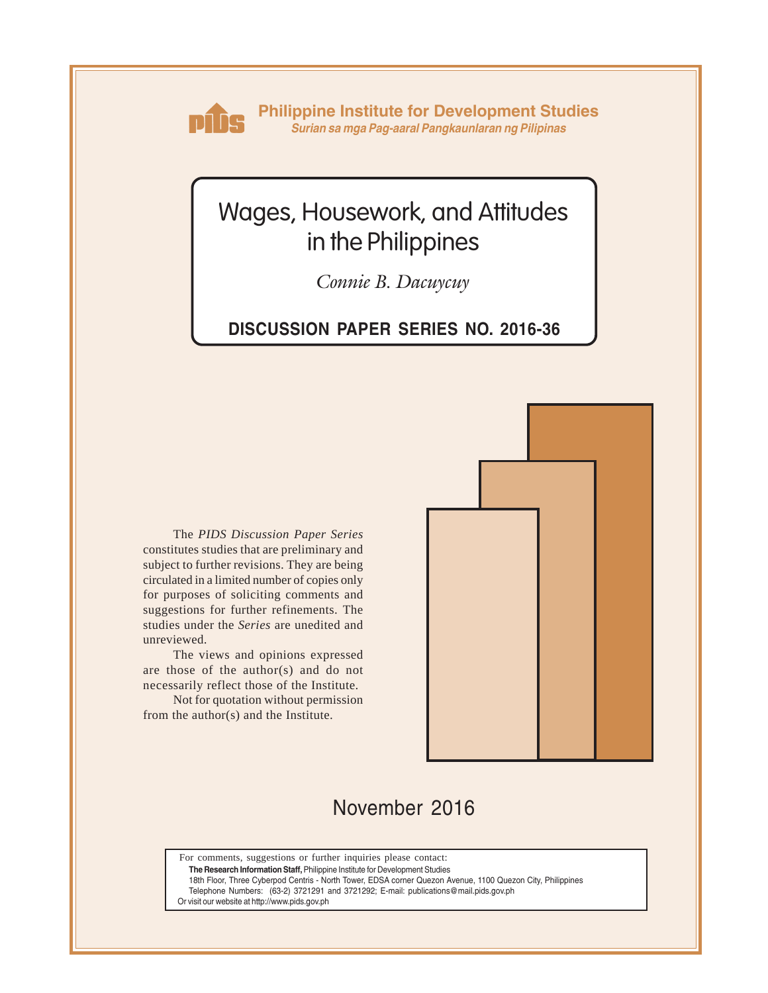

**Philippine Institute for Development Studies** *Surian sa mga Pag-aaral Pangkaunlaran ng Pilipinas*

# Wages, Housework, and Attitudes in the Philippines

*Connie B. Dacuycuy*

### **DISCUSSION PAPER SERIES NO. 2016-36**

The *PIDS Discussion Paper Series* constitutes studies that are preliminary and subject to further revisions. They are being circulated in a limited number of copies only for purposes of soliciting comments and suggestions for further refinements. The studies under the *Series* are unedited and unreviewed.

The views and opinions expressed are those of the author(s) and do not necessarily reflect those of the Institute.

Not for quotation without permission from the author(s) and the Institute.



## November 2016

For comments, suggestions or further inquiries please contact:

**The Research Information Staff,** Philippine Institute for Development Studies

18th Floor, Three Cyberpod Centris - North Tower, EDSA corner Quezon Avenue, 1100 Quezon City, Philippines

Telephone Numbers: (63-2) 3721291 and 3721292; E-mail: publications@mail.pids.gov.ph

Or visit our website at http://www.pids.gov.ph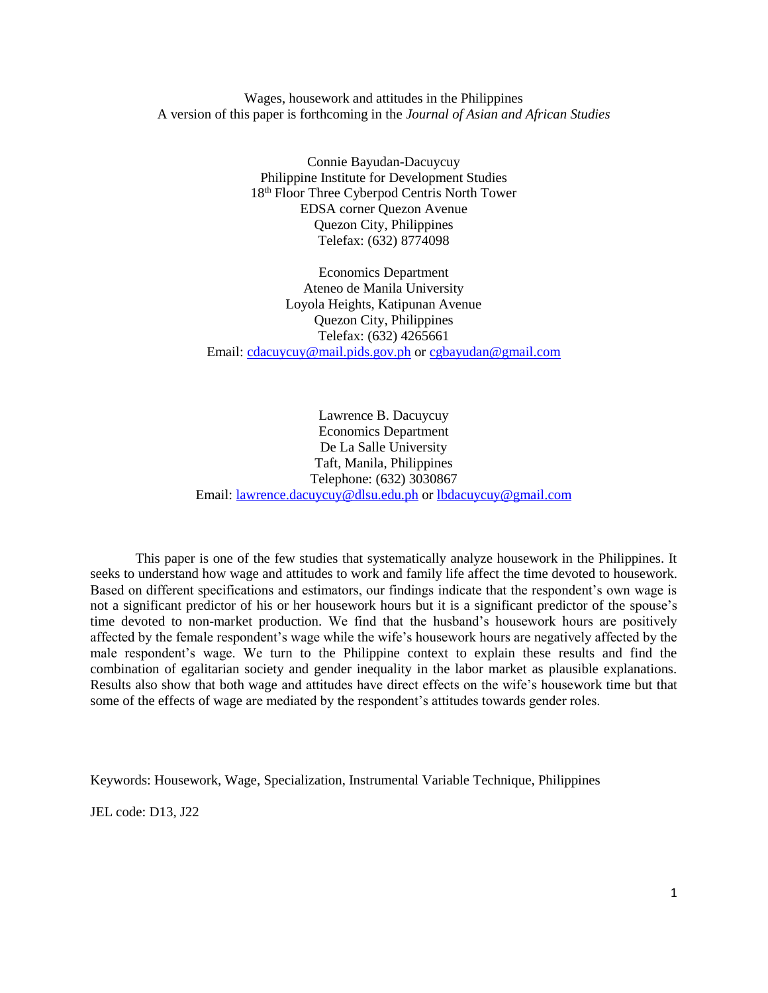Wages, housework and attitudes in the Philippines A version of this paper is forthcoming in the *Journal of Asian and African Studies*

> Connie Bayudan-Dacuycuy Philippine Institute for Development Studies 18th Floor Three Cyberpod Centris North Tower EDSA corner Quezon Avenue Quezon City, Philippines Telefax: (632) 8774098

Economics Department Ateneo de Manila University Loyola Heights, Katipunan Avenue Quezon City, Philippines Telefax: (632) 4265661 Email: [cdacuycuy@mail.pids.gov.ph](mailto:cdacuycuy@mail.pids.gov.ph) or [cgbayudan@gmail.com](mailto:cgbayudan@gmail.com)

Lawrence B. Dacuycuy Economics Department De La Salle University Taft, Manila, Philippines Telephone: (632) 3030867 Email: [lawrence.dacuycuy@dlsu.edu.ph](mailto:lawrence.dacuycuy@dlsu.edu.ph) or [lbdacuycuy@gmail.com](mailto:lbdacuycuy@gmail.com)

This paper is one of the few studies that systematically analyze housework in the Philippines. It seeks to understand how wage and attitudes to work and family life affect the time devoted to housework. Based on different specifications and estimators, our findings indicate that the respondent's own wage is not a significant predictor of his or her housework hours but it is a significant predictor of the spouse's time devoted to non-market production. We find that the husband's housework hours are positively affected by the female respondent's wage while the wife's housework hours are negatively affected by the male respondent's wage. We turn to the Philippine context to explain these results and find the combination of egalitarian society and gender inequality in the labor market as plausible explanations. Results also show that both wage and attitudes have direct effects on the wife's housework time but that some of the effects of wage are mediated by the respondent's attitudes towards gender roles.

Keywords: Housework, Wage, Specialization, Instrumental Variable Technique, Philippines

JEL code: D13, J22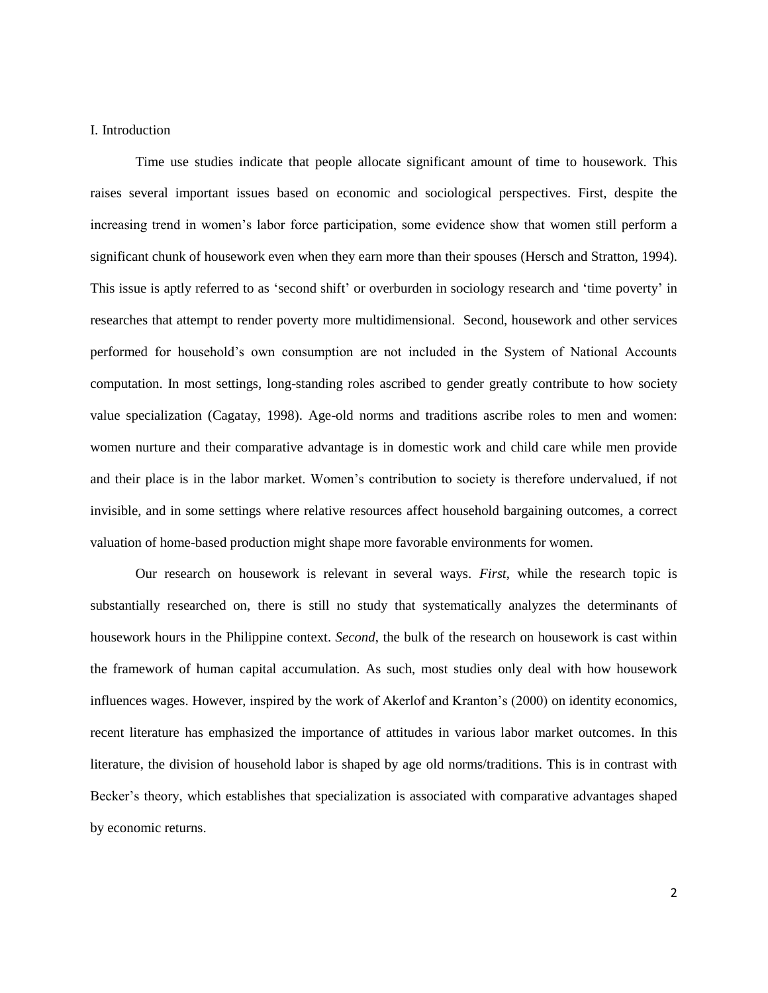#### I. Introduction

Time use studies indicate that people allocate significant amount of time to housework. This raises several important issues based on economic and sociological perspectives. First, despite the increasing trend in women's labor force participation, some evidence show that women still perform a significant chunk of housework even when they earn more than their spouses (Hersch and Stratton, 1994). This issue is aptly referred to as 'second shift' or overburden in sociology research and 'time poverty' in researches that attempt to render poverty more multidimensional. Second, housework and other services performed for household's own consumption are not included in the System of National Accounts computation. In most settings, long-standing roles ascribed to gender greatly contribute to how society value specialization (Cagatay, 1998). Age-old norms and traditions ascribe roles to men and women: women nurture and their comparative advantage is in domestic work and child care while men provide and their place is in the labor market. Women's contribution to society is therefore undervalued, if not invisible, and in some settings where relative resources affect household bargaining outcomes, a correct valuation of home-based production might shape more favorable environments for women.

Our research on housework is relevant in several ways. *First*, while the research topic is substantially researched on, there is still no study that systematically analyzes the determinants of housework hours in the Philippine context. *Second*, the bulk of the research on housework is cast within the framework of human capital accumulation. As such, most studies only deal with how housework influences wages. However, inspired by the work of Akerlof and Kranton's (2000) on identity economics, recent literature has emphasized the importance of attitudes in various labor market outcomes. In this literature, the division of household labor is shaped by age old norms/traditions. This is in contrast with Becker's theory, which establishes that specialization is associated with comparative advantages shaped by economic returns.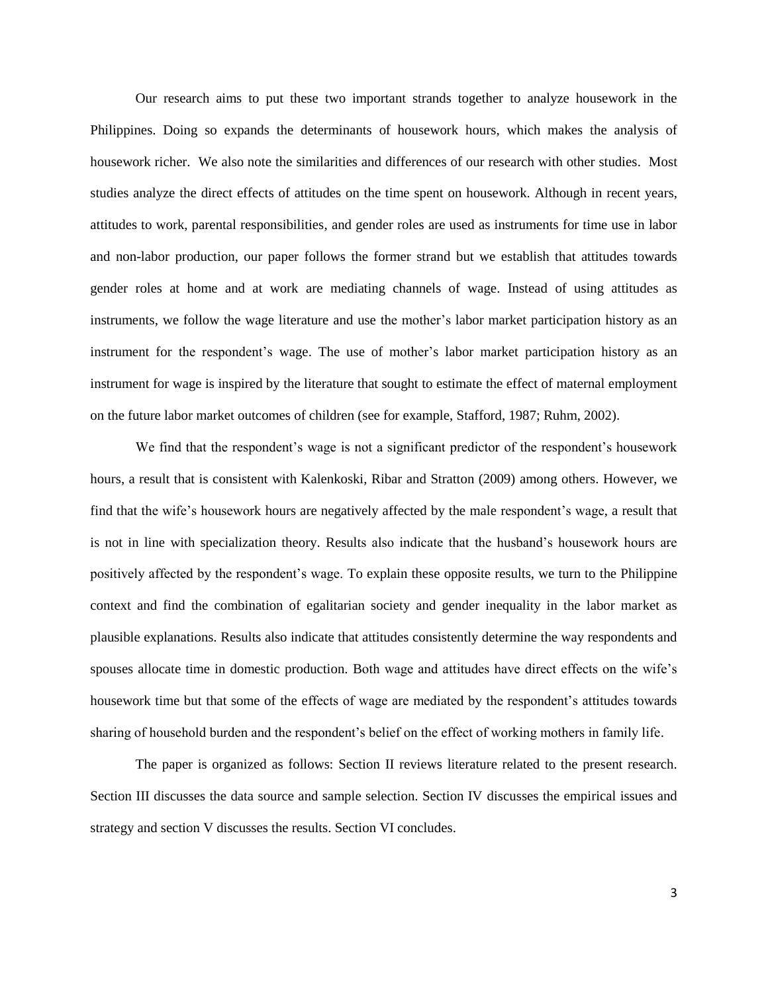Our research aims to put these two important strands together to analyze housework in the Philippines. Doing so expands the determinants of housework hours, which makes the analysis of housework richer. We also note the similarities and differences of our research with other studies. Most studies analyze the direct effects of attitudes on the time spent on housework. Although in recent years, attitudes to work, parental responsibilities, and gender roles are used as instruments for time use in labor and non-labor production, our paper follows the former strand but we establish that attitudes towards gender roles at home and at work are mediating channels of wage. Instead of using attitudes as instruments, we follow the wage literature and use the mother's labor market participation history as an instrument for the respondent's wage. The use of mother's labor market participation history as an instrument for wage is inspired by the literature that sought to estimate the effect of maternal employment on the future labor market outcomes of children (see for example, Stafford, 1987; Ruhm, 2002).

We find that the respondent's wage is not a significant predictor of the respondent's housework hours, a result that is consistent with Kalenkoski, Ribar and Stratton (2009) among others. However, we find that the wife's housework hours are negatively affected by the male respondent's wage, a result that is not in line with specialization theory. Results also indicate that the husband's housework hours are positively affected by the respondent's wage. To explain these opposite results, we turn to the Philippine context and find the combination of egalitarian society and gender inequality in the labor market as plausible explanations. Results also indicate that attitudes consistently determine the way respondents and spouses allocate time in domestic production. Both wage and attitudes have direct effects on the wife's housework time but that some of the effects of wage are mediated by the respondent's attitudes towards sharing of household burden and the respondent's belief on the effect of working mothers in family life.

The paper is organized as follows: Section II reviews literature related to the present research. Section III discusses the data source and sample selection. Section IV discusses the empirical issues and strategy and section V discusses the results. Section VI concludes.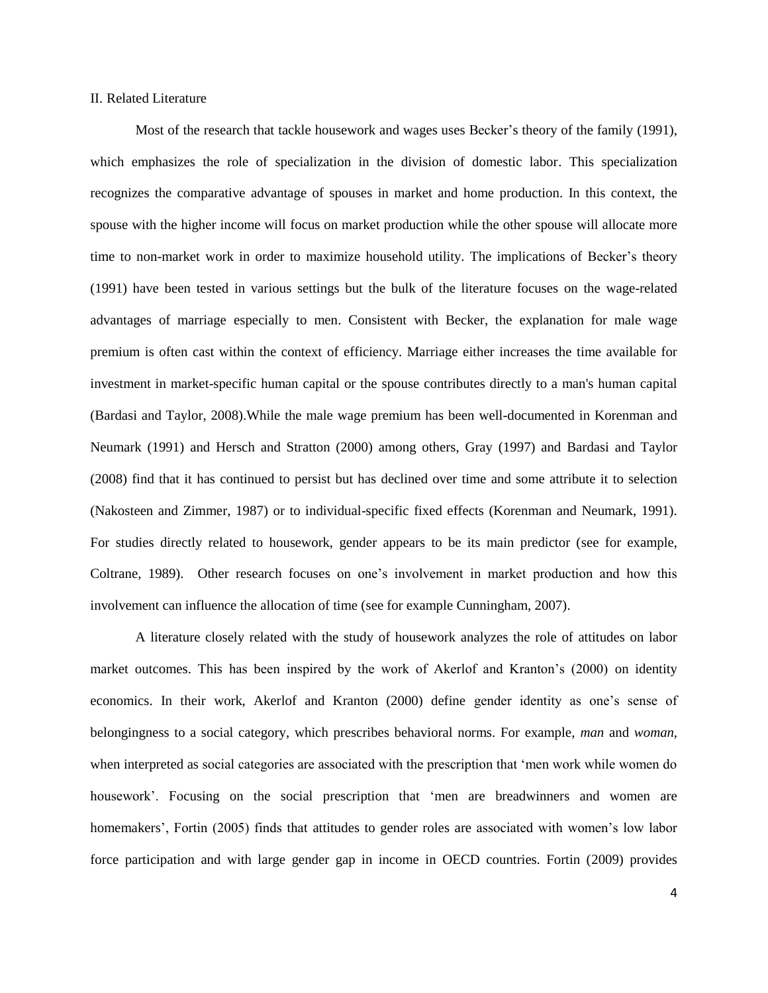#### II. Related Literature

Most of the research that tackle housework and wages uses Becker's theory of the family (1991), which emphasizes the role of specialization in the division of domestic labor. This specialization recognizes the comparative advantage of spouses in market and home production. In this context, the spouse with the higher income will focus on market production while the other spouse will allocate more time to non-market work in order to maximize household utility. The implications of Becker's theory (1991) have been tested in various settings but the bulk of the literature focuses on the wage-related advantages of marriage especially to men. Consistent with Becker, the explanation for male wage premium is often cast within the context of efficiency. Marriage either increases the time available for investment in market-specific human capital or the spouse contributes directly to a man's human capital (Bardasi and Taylor, 2008).While the male wage premium has been well-documented in Korenman and Neumark (1991) and Hersch and Stratton (2000) among others, Gray (1997) and Bardasi and Taylor (2008) find that it has continued to persist but has declined over time and some attribute it to selection (Nakosteen and Zimmer, 1987) or to individual-specific fixed effects (Korenman and Neumark, 1991). For studies directly related to housework, gender appears to be its main predictor (see for example, Coltrane, 1989). Other research focuses on one's involvement in market production and how this involvement can influence the allocation of time (see for example Cunningham, 2007).

A literature closely related with the study of housework analyzes the role of attitudes on labor market outcomes. This has been inspired by the work of Akerlof and Kranton's (2000) on identity economics. In their work, Akerlof and Kranton (2000) define gender identity as one's sense of belongingness to a social category, which prescribes behavioral norms. For example, *man* and *woman*, when interpreted as social categories are associated with the prescription that 'men work while women do housework'. Focusing on the social prescription that 'men are breadwinners and women are homemakers', Fortin (2005) finds that attitudes to gender roles are associated with women's low labor force participation and with large gender gap in income in OECD countries. Fortin (2009) provides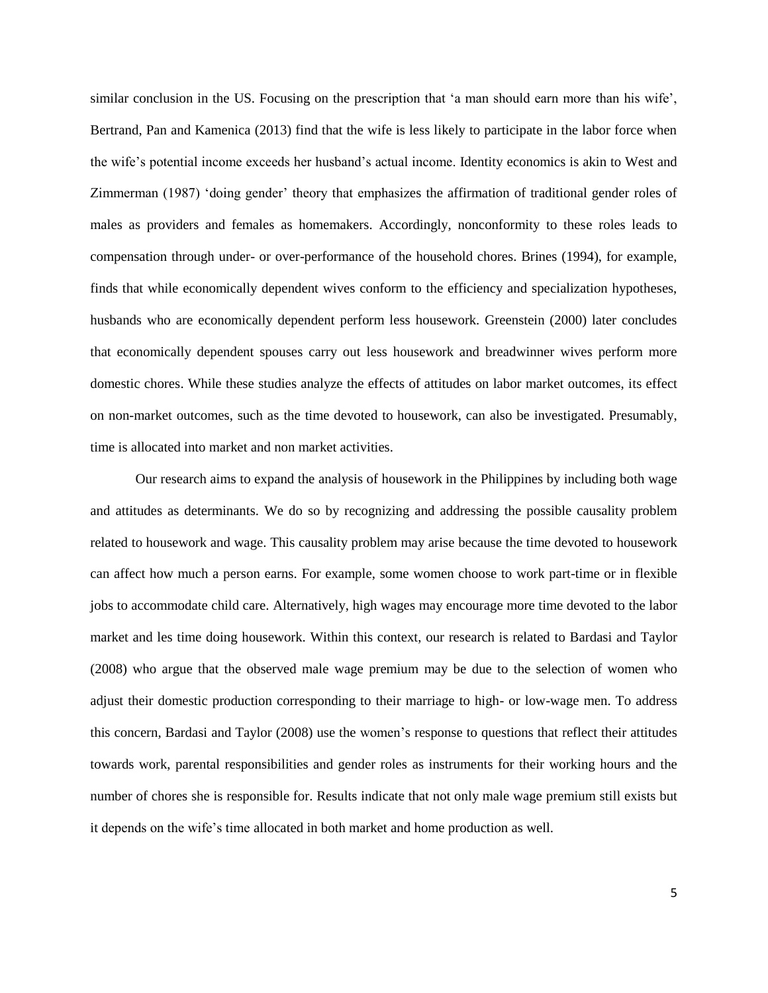similar conclusion in the US. Focusing on the prescription that 'a man should earn more than his wife', Bertrand, Pan and Kamenica (2013) find that the wife is less likely to participate in the labor force when the wife's potential income exceeds her husband's actual income. Identity economics is akin to West and Zimmerman (1987) 'doing gender' theory that emphasizes the affirmation of traditional gender roles of males as providers and females as homemakers. Accordingly, nonconformity to these roles leads to compensation through under- or over-performance of the household chores. Brines (1994), for example, finds that while economically dependent wives conform to the efficiency and specialization hypotheses, husbands who are economically dependent perform less housework. Greenstein (2000) later concludes that economically dependent spouses carry out less housework and breadwinner wives perform more domestic chores. While these studies analyze the effects of attitudes on labor market outcomes, its effect on non-market outcomes, such as the time devoted to housework, can also be investigated. Presumably, time is allocated into market and non market activities.

Our research aims to expand the analysis of housework in the Philippines by including both wage and attitudes as determinants. We do so by recognizing and addressing the possible causality problem related to housework and wage. This causality problem may arise because the time devoted to housework can affect how much a person earns. For example, some women choose to work part-time or in flexible jobs to accommodate child care. Alternatively, high wages may encourage more time devoted to the labor market and les time doing housework. Within this context, our research is related to Bardasi and Taylor (2008) who argue that the observed male wage premium may be due to the selection of women who adjust their domestic production corresponding to their marriage to high- or low-wage men. To address this concern, Bardasi and Taylor (2008) use the women's response to questions that reflect their attitudes towards work, parental responsibilities and gender roles as instruments for their working hours and the number of chores she is responsible for. Results indicate that not only male wage premium still exists but it depends on the wife's time allocated in both market and home production as well.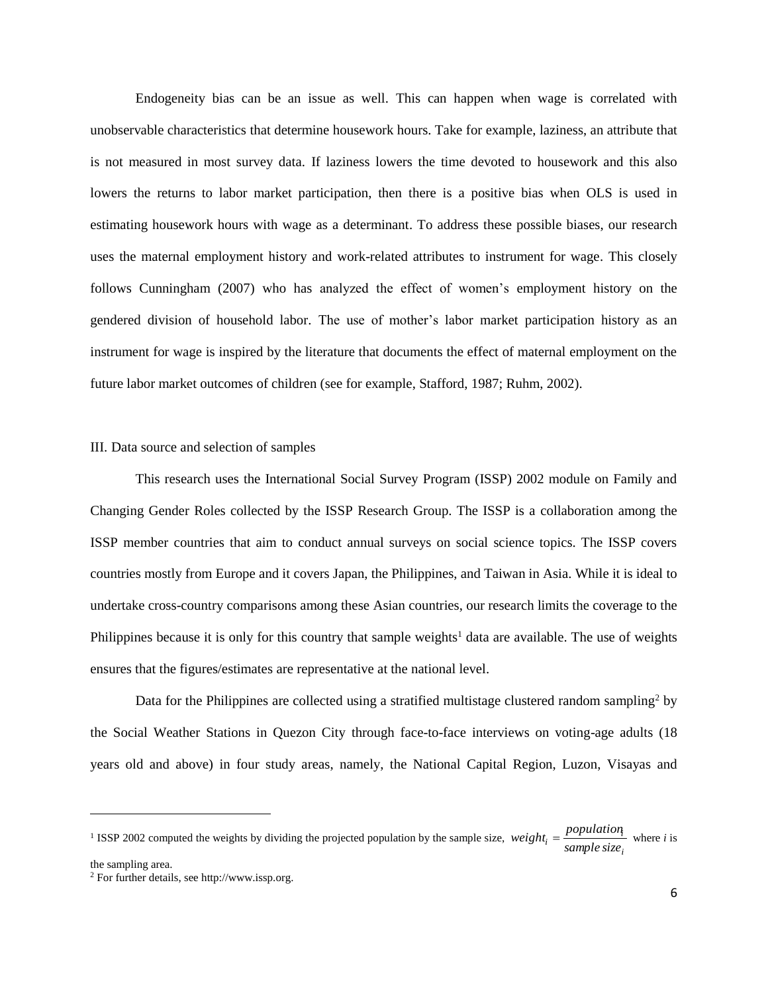Endogeneity bias can be an issue as well. This can happen when wage is correlated with unobservable characteristics that determine housework hours. Take for example, laziness, an attribute that is not measured in most survey data. If laziness lowers the time devoted to housework and this also lowers the returns to labor market participation, then there is a positive bias when OLS is used in estimating housework hours with wage as a determinant. To address these possible biases, our research uses the maternal employment history and work-related attributes to instrument for wage. This closely follows Cunningham (2007) who has analyzed the effect of women's employment history on the gendered division of household labor. The use of mother's labor market participation history as an instrument for wage is inspired by the literature that documents the effect of maternal employment on the future labor market outcomes of children (see for example, Stafford, 1987; Ruhm, 2002).

#### III. Data source and selection of samples

This research uses the International Social Survey Program (ISSP) 2002 module on Family and Changing Gender Roles collected by the ISSP Research Group. The ISSP is a collaboration among the ISSP member countries that aim to conduct annual surveys on social science topics. The ISSP covers countries mostly from Europe and it covers Japan, the Philippines, and Taiwan in Asia. While it is ideal to undertake cross-country comparisons among these Asian countries, our research limits the coverage to the Philippines because it is only for this country that sample weights<sup>1</sup> data are available. The use of weights ensures that the figures/estimates are representative at the national level.

Data for the Philippines are collected using a stratified multistage clustered random sampling<sup>2</sup> by the Social Weather Stations in Quezon City through face-to-face interviews on voting-age adults (18 years old and above) in four study areas, namely, the National Capital Region, Luzon, Visayas and

the sampling area.

 $\overline{\phantom{a}}$ 

<sup>&</sup>lt;sup>1</sup> ISSP 2002 computed the weights by dividing the projected population by the sample size, *i*  $\dot{a}_i = \frac{population_i}{sample\, size}$  $weight_i = \frac{population_i}{Time}$  where *i* is

<sup>2</sup> For further details, see http://www.issp.org.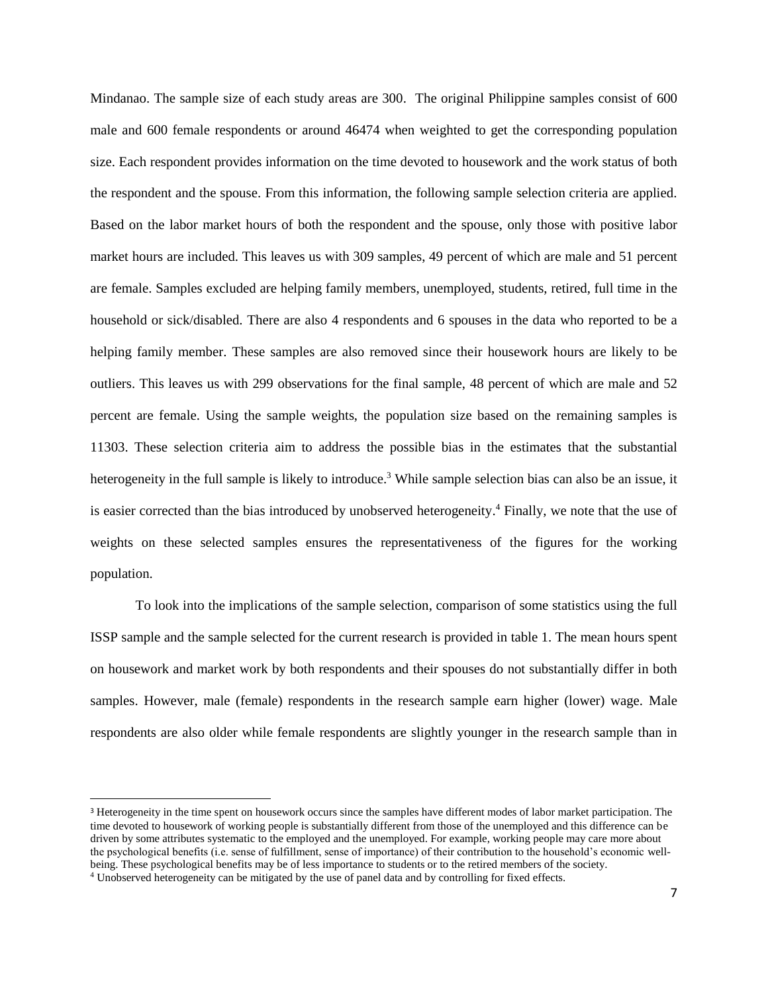Mindanao. The sample size of each study areas are 300. The original Philippine samples consist of 600 male and 600 female respondents or around 46474 when weighted to get the corresponding population size. Each respondent provides information on the time devoted to housework and the work status of both the respondent and the spouse. From this information, the following sample selection criteria are applied. Based on the labor market hours of both the respondent and the spouse, only those with positive labor market hours are included. This leaves us with 309 samples, 49 percent of which are male and 51 percent are female. Samples excluded are helping family members, unemployed, students, retired, full time in the household or sick/disabled. There are also 4 respondents and 6 spouses in the data who reported to be a helping family member. These samples are also removed since their housework hours are likely to be outliers. This leaves us with 299 observations for the final sample, 48 percent of which are male and 52 percent are female. Using the sample weights, the population size based on the remaining samples is 11303. These selection criteria aim to address the possible bias in the estimates that the substantial heterogeneity in the full sample is likely to introduce.<sup>3</sup> While sample selection bias can also be an issue, it is easier corrected than the bias introduced by unobserved heterogeneity. <sup>4</sup> Finally, we note that the use of weights on these selected samples ensures the representativeness of the figures for the working population.

To look into the implications of the sample selection, comparison of some statistics using the full ISSP sample and the sample selected for the current research is provided in table 1. The mean hours spent on housework and market work by both respondents and their spouses do not substantially differ in both samples. However, male (female) respondents in the research sample earn higher (lower) wage. Male respondents are also older while female respondents are slightly younger in the research sample than in

l

<sup>3</sup> Heterogeneity in the time spent on housework occurs since the samples have different modes of labor market participation. The time devoted to housework of working people is substantially different from those of the unemployed and this difference can be driven by some attributes systematic to the employed and the unemployed. For example, working people may care more about the psychological benefits (i.e. sense of fulfillment, sense of importance) of their contribution to the household's economic wellbeing. These psychological benefits may be of less importance to students or to the retired members of the society.

<sup>4</sup> Unobserved heterogeneity can be mitigated by the use of panel data and by controlling for fixed effects.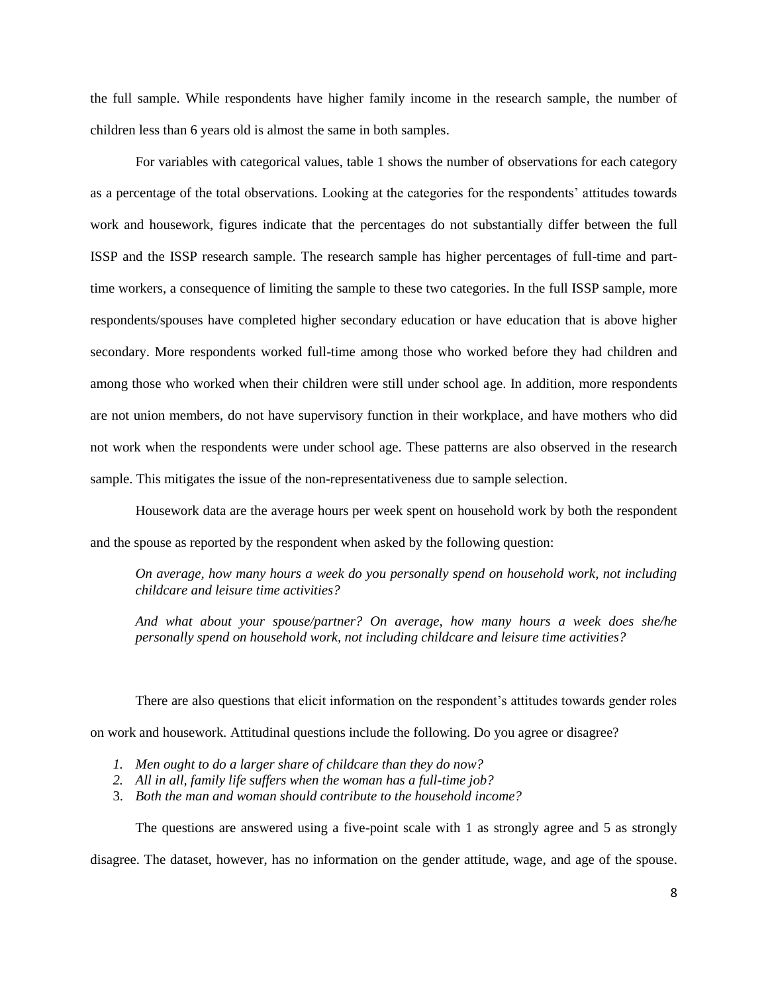the full sample. While respondents have higher family income in the research sample, the number of children less than 6 years old is almost the same in both samples.

For variables with categorical values, table 1 shows the number of observations for each category as a percentage of the total observations. Looking at the categories for the respondents' attitudes towards work and housework, figures indicate that the percentages do not substantially differ between the full ISSP and the ISSP research sample. The research sample has higher percentages of full-time and parttime workers, a consequence of limiting the sample to these two categories. In the full ISSP sample, more respondents/spouses have completed higher secondary education or have education that is above higher secondary. More respondents worked full-time among those who worked before they had children and among those who worked when their children were still under school age. In addition, more respondents are not union members, do not have supervisory function in their workplace, and have mothers who did not work when the respondents were under school age. These patterns are also observed in the research sample. This mitigates the issue of the non-representativeness due to sample selection.

Housework data are the average hours per week spent on household work by both the respondent and the spouse as reported by the respondent when asked by the following question:

*On average, how many hours a week do you personally spend on household work, not including childcare and leisure time activities?*

*And what about your spouse/partner? On average, how many hours a week does she/he personally spend on household work, not including childcare and leisure time activities?*

There are also questions that elicit information on the respondent's attitudes towards gender roles on work and housework. Attitudinal questions include the following. Do you agree or disagree?

- *1. Men ought to do a larger share of childcare than they do now?*
- *2. All in all, family life suffers when the woman has a full-time job?*
- 3. *Both the man and woman should contribute to the household income?*

The questions are answered using a five-point scale with 1 as strongly agree and 5 as strongly

disagree. The dataset, however, has no information on the gender attitude, wage, and age of the spouse.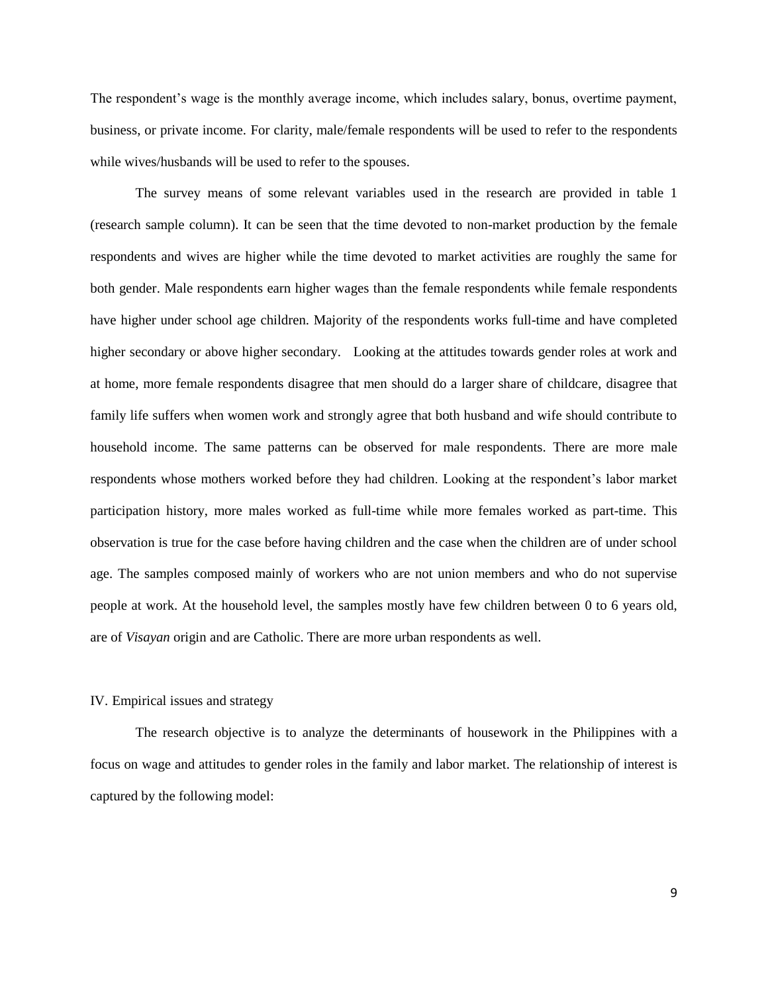The respondent's wage is the monthly average income, which includes salary, bonus, overtime payment, business, or private income. For clarity, male/female respondents will be used to refer to the respondents while wives/husbands will be used to refer to the spouses.

The survey means of some relevant variables used in the research are provided in table 1 (research sample column). It can be seen that the time devoted to non-market production by the female respondents and wives are higher while the time devoted to market activities are roughly the same for both gender. Male respondents earn higher wages than the female respondents while female respondents have higher under school age children. Majority of the respondents works full-time and have completed higher secondary or above higher secondary. Looking at the attitudes towards gender roles at work and at home, more female respondents disagree that men should do a larger share of childcare, disagree that family life suffers when women work and strongly agree that both husband and wife should contribute to household income. The same patterns can be observed for male respondents. There are more male respondents whose mothers worked before they had children. Looking at the respondent's labor market participation history, more males worked as full-time while more females worked as part-time. This observation is true for the case before having children and the case when the children are of under school age. The samples composed mainly of workers who are not union members and who do not supervise people at work. At the household level, the samples mostly have few children between 0 to 6 years old, are of *Visayan* origin and are Catholic. There are more urban respondents as well.

#### IV. Empirical issues and strategy

The research objective is to analyze the determinants of housework in the Philippines with a focus on wage and attitudes to gender roles in the family and labor market. The relationship of interest is captured by the following model: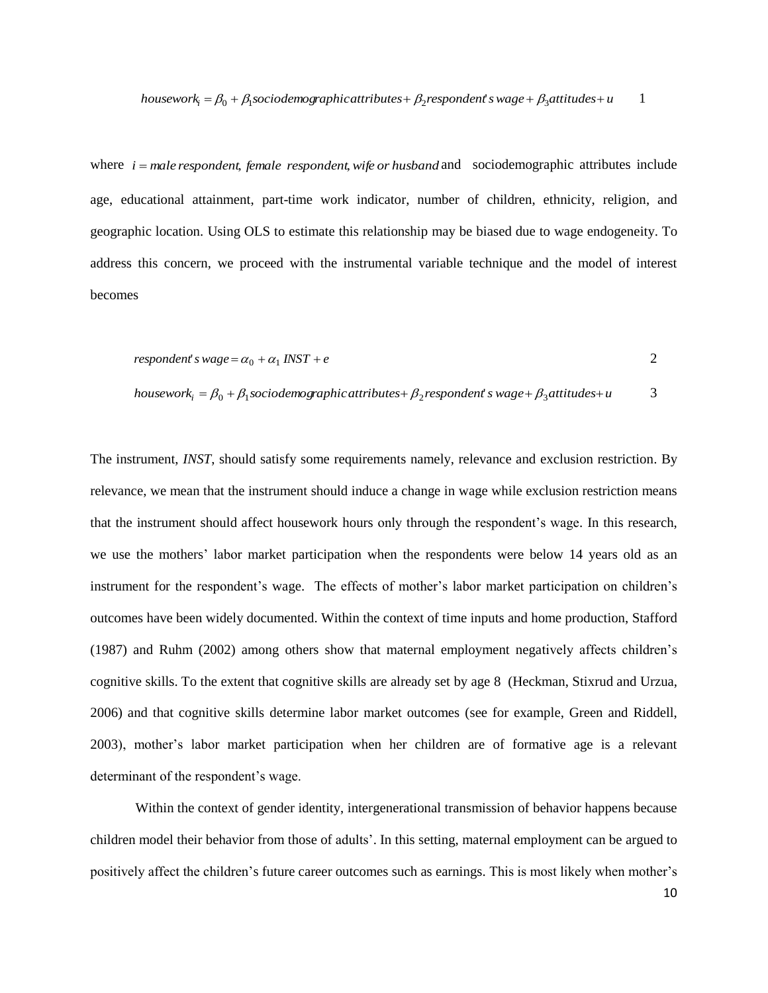where *i* = male *respondent*, *female respondent*, *wife or husband* and sociodemographic attributes include age, educational attainment, part-time work indicator, number of children, ethnicity, religion, and geographic location. Using OLS to estimate this relationship may be biased due to wage endogeneity. To address this concern, we proceed with the instrumental variable technique and the model of interest becomes

$$
responden t's wage = \alpha_0 + \alpha_1 \, INST + e
$$

 $housework<sub>i</sub> = \beta_0 + \beta_1 sociodemographic attributes + \beta_2 respondent<sub>s</sub> was  $\beta_3$  attributes +  $u$$ 3

The instrument, *INST*, should satisfy some requirements namely, relevance and exclusion restriction. By relevance, we mean that the instrument should induce a change in wage while exclusion restriction means that the instrument should affect housework hours only through the respondent's wage. In this research, we use the mothers' labor market participation when the respondents were below 14 years old as an instrument for the respondent's wage. The effects of mother's labor market participation on children's outcomes have been widely documented. Within the context of time inputs and home production, Stafford (1987) and Ruhm (2002) among others show that maternal employment negatively affects children's cognitive skills. To the extent that cognitive skills are already set by age 8 (Heckman, Stixrud and Urzua, 2006) and that cognitive skills determine labor market outcomes (see for example, Green and Riddell, 2003), mother's labor market participation when her children are of formative age is a relevant determinant of the respondent's wage.

Within the context of gender identity, intergenerational transmission of behavior happens because children model their behavior from those of adults'. In this setting, maternal employment can be argued to positively affect the children's future career outcomes such as earnings. This is most likely when mother's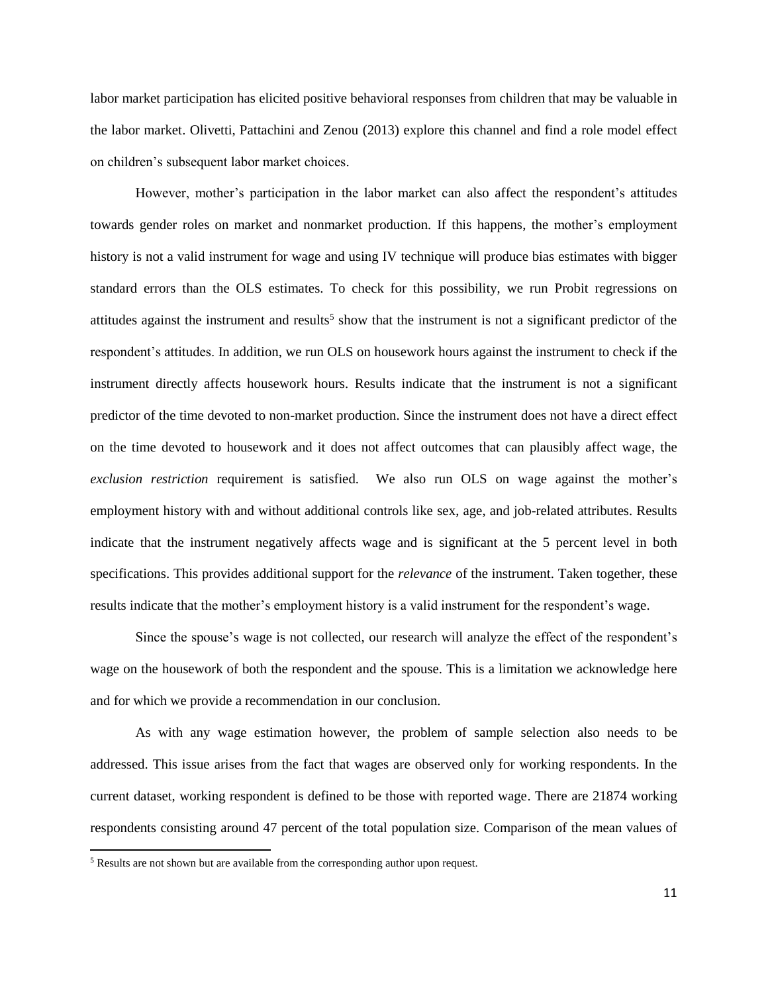labor market participation has elicited positive behavioral responses from children that may be valuable in the labor market. Olivetti, Pattachini and Zenou (2013) explore this channel and find a role model effect on children's subsequent labor market choices.

However, mother's participation in the labor market can also affect the respondent's attitudes towards gender roles on market and nonmarket production. If this happens, the mother's employment history is not a valid instrument for wage and using IV technique will produce bias estimates with bigger standard errors than the OLS estimates. To check for this possibility, we run Probit regressions on attitudes against the instrument and results<sup>5</sup> show that the instrument is not a significant predictor of the respondent's attitudes. In addition, we run OLS on housework hours against the instrument to check if the instrument directly affects housework hours. Results indicate that the instrument is not a significant predictor of the time devoted to non-market production. Since the instrument does not have a direct effect on the time devoted to housework and it does not affect outcomes that can plausibly affect wage, the *exclusion restriction* requirement is satisfied. We also run OLS on wage against the mother's employment history with and without additional controls like sex, age, and job-related attributes. Results indicate that the instrument negatively affects wage and is significant at the 5 percent level in both specifications. This provides additional support for the *relevance* of the instrument. Taken together, these results indicate that the mother's employment history is a valid instrument for the respondent's wage.

Since the spouse's wage is not collected, our research will analyze the effect of the respondent's wage on the housework of both the respondent and the spouse. This is a limitation we acknowledge here and for which we provide a recommendation in our conclusion.

As with any wage estimation however, the problem of sample selection also needs to be addressed. This issue arises from the fact that wages are observed only for working respondents. In the current dataset, working respondent is defined to be those with reported wage. There are 21874 working respondents consisting around 47 percent of the total population size. Comparison of the mean values of

l

<sup>5</sup> Results are not shown but are available from the corresponding author upon request.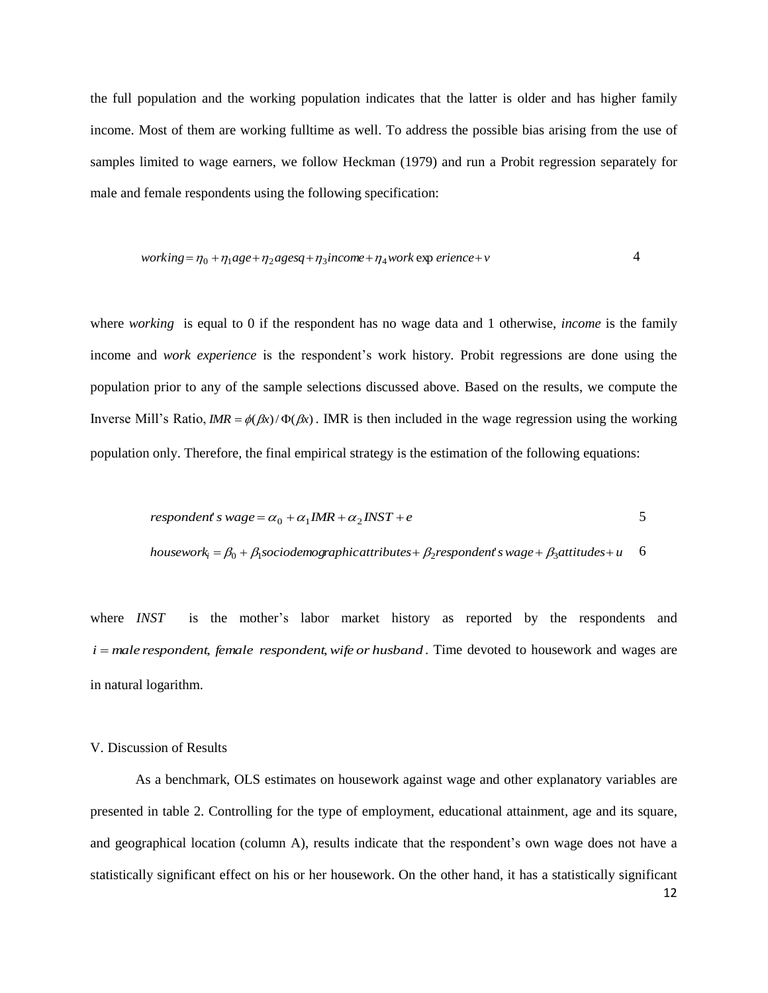the full population and the working population indicates that the latter is older and has higher family income. Most of them are working fulltime as well. To address the possible bias arising from the use of samples limited to wage earners, we follow Heckman (1979) and run a Probit regression separately for male and female respondents using the following specification:

*working* = 
$$
\eta_0 + \eta_1 age + \eta_2 agesq + \eta_3 income + \eta_4 work \exp
$$
 *erience* + *v*

where *working* is equal to 0 if the respondent has no wage data and 1 otherwise, *income* is the family income and *work experience* is the respondent's work history*.* Probit regressions are done using the population prior to any of the sample selections discussed above. Based on the results, we compute the Inverse Mill's Ratio,  $IMR = \phi(\beta x)/\Phi(\beta x)$ . IMR is then included in the wage regression using the working population only. Therefore, the final empirical strategy is the estimation of the following equations:

$$
respondent \, s \, wage = \alpha_0 + \alpha_1 IMR + \alpha_2 INST + e
$$

*housework*<sub>i</sub> = 
$$
\beta_0 + \beta_1
$$
*sociodemographic attributes* +  $\beta_2$ *respondentswage* +  $\beta_3$ *attitudes* + *u* 6

where *INST* is the mother's labor market history as reported by the respondents and *i male respondent*, *female respondent*,*wife or husband* . Time devoted to housework and wages are in natural logarithm.

#### V. Discussion of Results

As a benchmark, OLS estimates on housework against wage and other explanatory variables are presented in table 2. Controlling for the type of employment, educational attainment, age and its square, and geographical location (column A), results indicate that the respondent's own wage does not have a statistically significant effect on his or her housework. On the other hand, it has a statistically significant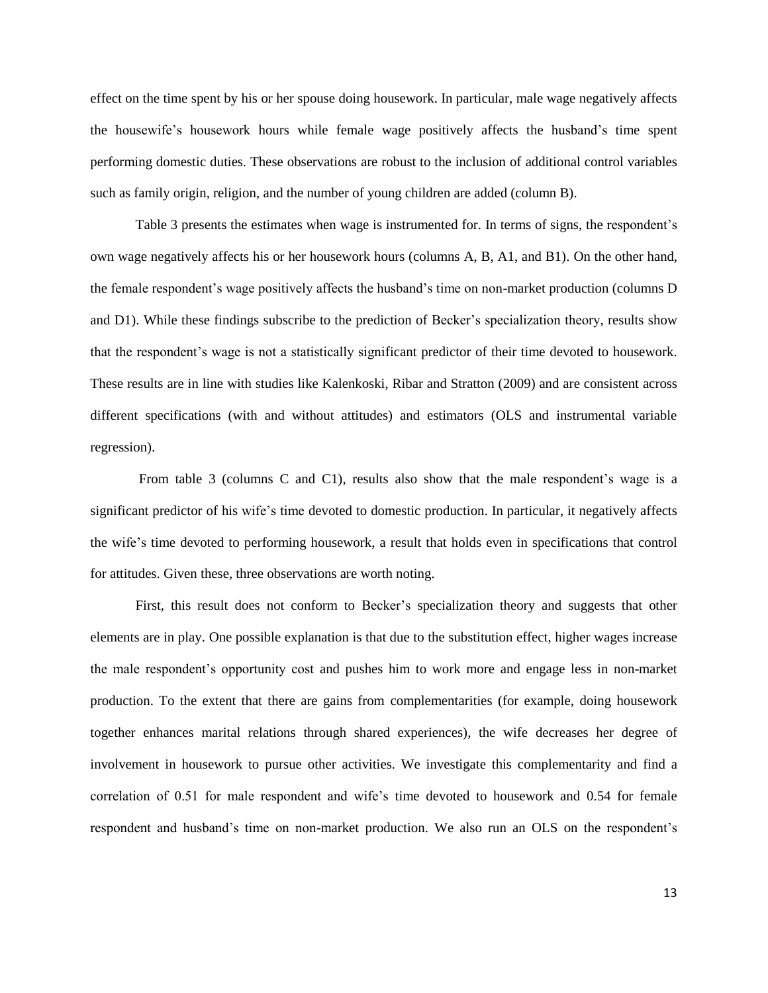effect on the time spent by his or her spouse doing housework. In particular, male wage negatively affects the housewife's housework hours while female wage positively affects the husband's time spent performing domestic duties. These observations are robust to the inclusion of additional control variables such as family origin, religion, and the number of young children are added (column B).

Table 3 presents the estimates when wage is instrumented for. In terms of signs, the respondent's own wage negatively affects his or her housework hours (columns A, B, A1, and B1). On the other hand, the female respondent's wage positively affects the husband's time on non-market production (columns D and D1). While these findings subscribe to the prediction of Becker's specialization theory, results show that the respondent's wage is not a statistically significant predictor of their time devoted to housework. These results are in line with studies like Kalenkoski, Ribar and Stratton (2009) and are consistent across different specifications (with and without attitudes) and estimators (OLS and instrumental variable regression).

From table 3 (columns C and C1), results also show that the male respondent's wage is a significant predictor of his wife's time devoted to domestic production. In particular, it negatively affects the wife's time devoted to performing housework, a result that holds even in specifications that control for attitudes. Given these, three observations are worth noting.

First, this result does not conform to Becker's specialization theory and suggests that other elements are in play. One possible explanation is that due to the substitution effect, higher wages increase the male respondent's opportunity cost and pushes him to work more and engage less in non-market production. To the extent that there are gains from complementarities (for example, doing housework together enhances marital relations through shared experiences), the wife decreases her degree of involvement in housework to pursue other activities. We investigate this complementarity and find a correlation of 0.51 for male respondent and wife's time devoted to housework and 0.54 for female respondent and husband's time on non-market production. We also run an OLS on the respondent's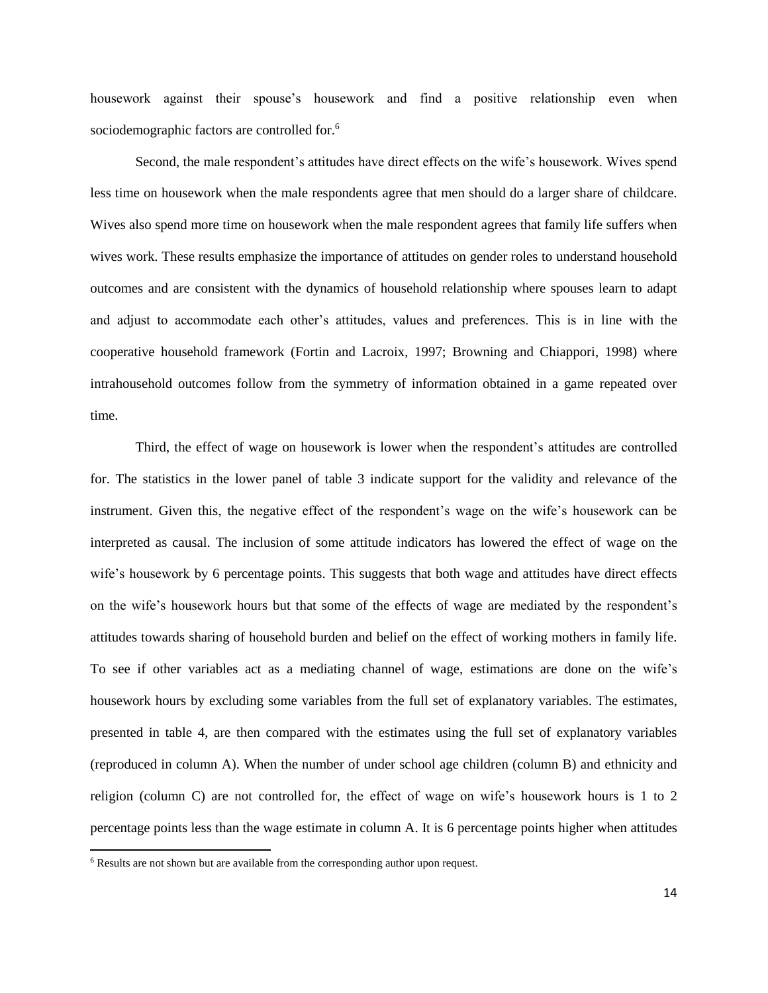housework against their spouse's housework and find a positive relationship even when sociodemographic factors are controlled for.<sup>6</sup>

Second, the male respondent's attitudes have direct effects on the wife's housework. Wives spend less time on housework when the male respondents agree that men should do a larger share of childcare. Wives also spend more time on housework when the male respondent agrees that family life suffers when wives work. These results emphasize the importance of attitudes on gender roles to understand household outcomes and are consistent with the dynamics of household relationship where spouses learn to adapt and adjust to accommodate each other's attitudes, values and preferences. This is in line with the cooperative household framework (Fortin and Lacroix, 1997; Browning and Chiappori, 1998) where intrahousehold outcomes follow from the symmetry of information obtained in a game repeated over time.

Third, the effect of wage on housework is lower when the respondent's attitudes are controlled for. The statistics in the lower panel of table 3 indicate support for the validity and relevance of the instrument. Given this, the negative effect of the respondent's wage on the wife's housework can be interpreted as causal. The inclusion of some attitude indicators has lowered the effect of wage on the wife's housework by 6 percentage points. This suggests that both wage and attitudes have direct effects on the wife's housework hours but that some of the effects of wage are mediated by the respondent's attitudes towards sharing of household burden and belief on the effect of working mothers in family life. To see if other variables act as a mediating channel of wage, estimations are done on the wife's housework hours by excluding some variables from the full set of explanatory variables. The estimates, presented in table 4, are then compared with the estimates using the full set of explanatory variables (reproduced in column A). When the number of under school age children (column B) and ethnicity and religion (column C) are not controlled for, the effect of wage on wife's housework hours is 1 to 2 percentage points less than the wage estimate in column A. It is 6 percentage points higher when attitudes

l

<sup>6</sup> Results are not shown but are available from the corresponding author upon request.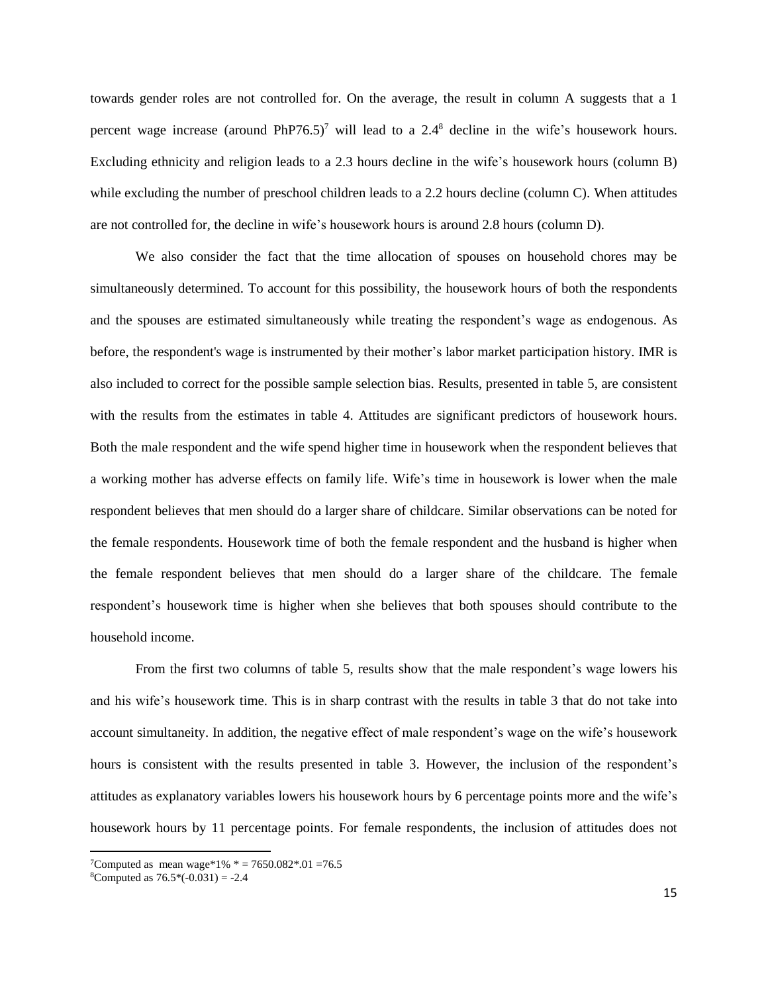towards gender roles are not controlled for. On the average, the result in column A suggests that a 1 percent wage increase (around PhP76.5)<sup>7</sup> will lead to a 2.4<sup>8</sup> decline in the wife's housework hours. Excluding ethnicity and religion leads to a 2.3 hours decline in the wife's housework hours (column B) while excluding the number of preschool children leads to a 2.2 hours decline (column C). When attitudes are not controlled for, the decline in wife's housework hours is around 2.8 hours (column D).

We also consider the fact that the time allocation of spouses on household chores may be simultaneously determined. To account for this possibility, the housework hours of both the respondents and the spouses are estimated simultaneously while treating the respondent's wage as endogenous. As before, the respondent's wage is instrumented by their mother's labor market participation history. IMR is also included to correct for the possible sample selection bias. Results, presented in table 5, are consistent with the results from the estimates in table 4. Attitudes are significant predictors of housework hours. Both the male respondent and the wife spend higher time in housework when the respondent believes that a working mother has adverse effects on family life. Wife's time in housework is lower when the male respondent believes that men should do a larger share of childcare. Similar observations can be noted for the female respondents. Housework time of both the female respondent and the husband is higher when the female respondent believes that men should do a larger share of the childcare. The female respondent's housework time is higher when she believes that both spouses should contribute to the household income.

From the first two columns of table 5, results show that the male respondent's wage lowers his and his wife's housework time. This is in sharp contrast with the results in table 3 that do not take into account simultaneity. In addition, the negative effect of male respondent's wage on the wife's housework hours is consistent with the results presented in table 3. However, the inclusion of the respondent's attitudes as explanatory variables lowers his housework hours by 6 percentage points more and the wife's housework hours by 11 percentage points. For female respondents, the inclusion of attitudes does not

 $\overline{\phantom{a}}$ 

<sup>&</sup>lt;sup>7</sup>Computed as mean wage\*1% \* = 7650.082 \* .01 = 76.5

 ${}^8$ Computed as  $76.5$ <sup>\*</sup> $(-0.031) = -2.4$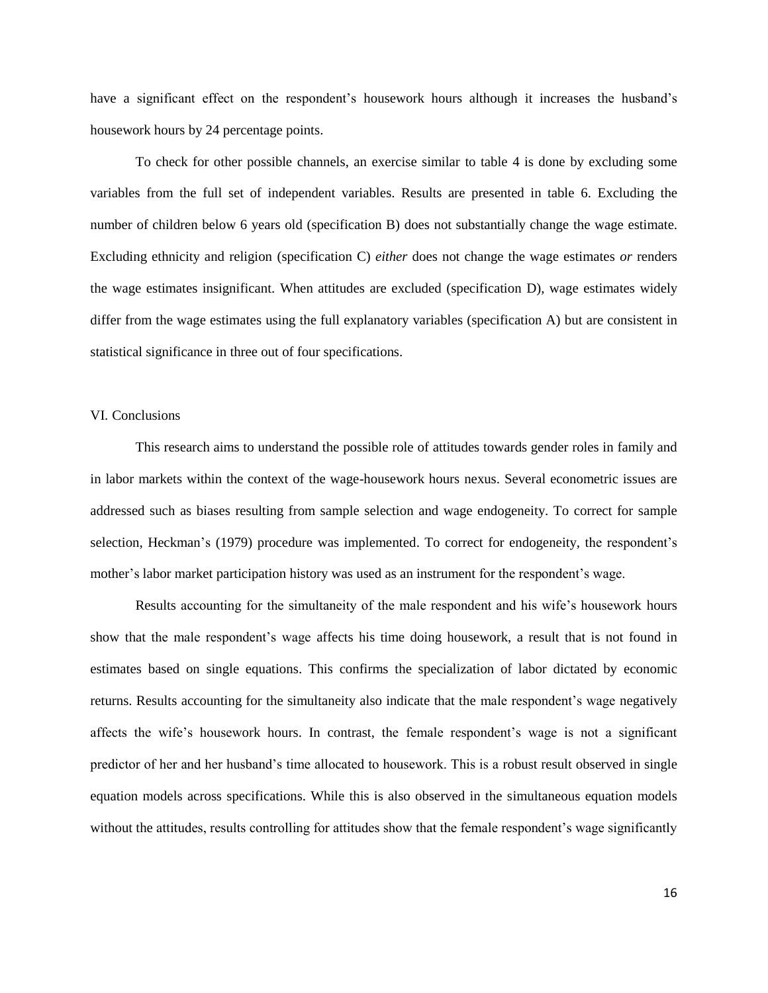have a significant effect on the respondent's housework hours although it increases the husband's housework hours by 24 percentage points.

To check for other possible channels, an exercise similar to table 4 is done by excluding some variables from the full set of independent variables. Results are presented in table 6. Excluding the number of children below 6 years old (specification B) does not substantially change the wage estimate. Excluding ethnicity and religion (specification C) *either* does not change the wage estimates *or* renders the wage estimates insignificant. When attitudes are excluded (specification D), wage estimates widely differ from the wage estimates using the full explanatory variables (specification A) but are consistent in statistical significance in three out of four specifications.

#### VI. Conclusions

This research aims to understand the possible role of attitudes towards gender roles in family and in labor markets within the context of the wage-housework hours nexus. Several econometric issues are addressed such as biases resulting from sample selection and wage endogeneity. To correct for sample selection, Heckman's (1979) procedure was implemented. To correct for endogeneity, the respondent's mother's labor market participation history was used as an instrument for the respondent's wage.

Results accounting for the simultaneity of the male respondent and his wife's housework hours show that the male respondent's wage affects his time doing housework, a result that is not found in estimates based on single equations. This confirms the specialization of labor dictated by economic returns. Results accounting for the simultaneity also indicate that the male respondent's wage negatively affects the wife's housework hours. In contrast, the female respondent's wage is not a significant predictor of her and her husband's time allocated to housework. This is a robust result observed in single equation models across specifications. While this is also observed in the simultaneous equation models without the attitudes, results controlling for attitudes show that the female respondent's wage significantly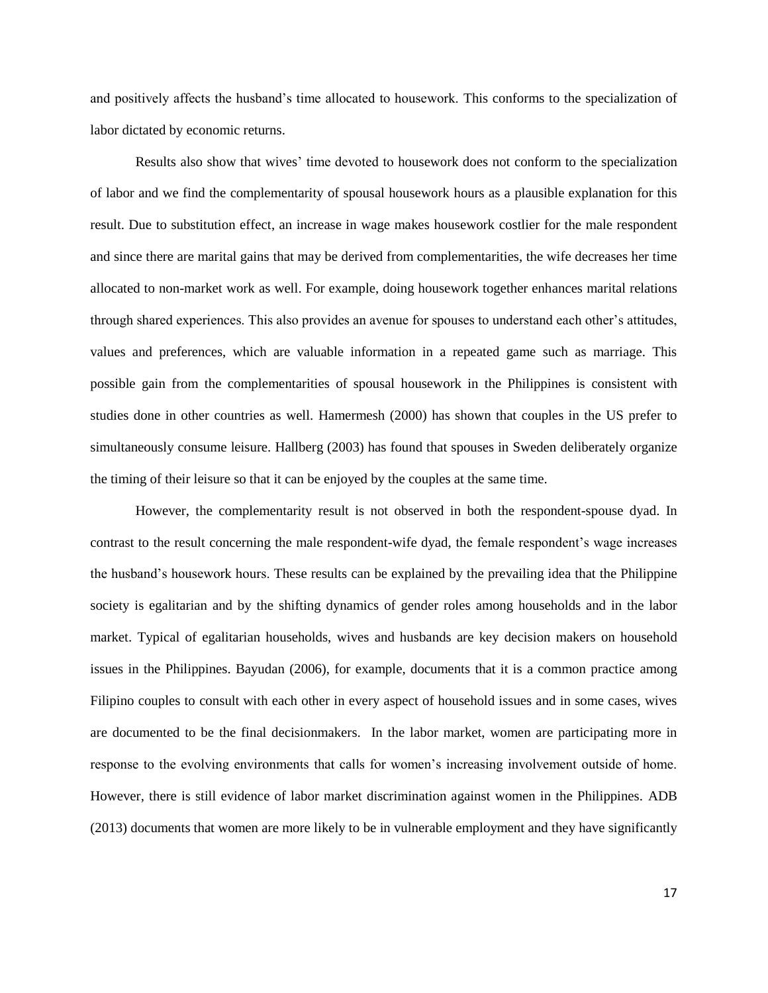and positively affects the husband's time allocated to housework. This conforms to the specialization of labor dictated by economic returns.

Results also show that wives' time devoted to housework does not conform to the specialization of labor and we find the complementarity of spousal housework hours as a plausible explanation for this result. Due to substitution effect, an increase in wage makes housework costlier for the male respondent and since there are marital gains that may be derived from complementarities, the wife decreases her time allocated to non-market work as well. For example, doing housework together enhances marital relations through shared experiences. This also provides an avenue for spouses to understand each other's attitudes, values and preferences, which are valuable information in a repeated game such as marriage. This possible gain from the complementarities of spousal housework in the Philippines is consistent with studies done in other countries as well. Hamermesh (2000) has shown that couples in the US prefer to simultaneously consume leisure. Hallberg (2003) has found that spouses in Sweden deliberately organize the timing of their leisure so that it can be enjoyed by the couples at the same time.

However, the complementarity result is not observed in both the respondent-spouse dyad. In contrast to the result concerning the male respondent-wife dyad, the female respondent's wage increases the husband's housework hours. These results can be explained by the prevailing idea that the Philippine society is egalitarian and by the shifting dynamics of gender roles among households and in the labor market. Typical of egalitarian households, wives and husbands are key decision makers on household issues in the Philippines. Bayudan (2006), for example, documents that it is a common practice among Filipino couples to consult with each other in every aspect of household issues and in some cases, wives are documented to be the final decisionmakers. In the labor market, women are participating more in response to the evolving environments that calls for women's increasing involvement outside of home. However, there is still evidence of labor market discrimination against women in the Philippines. ADB (2013) documents that women are more likely to be in vulnerable employment and they have significantly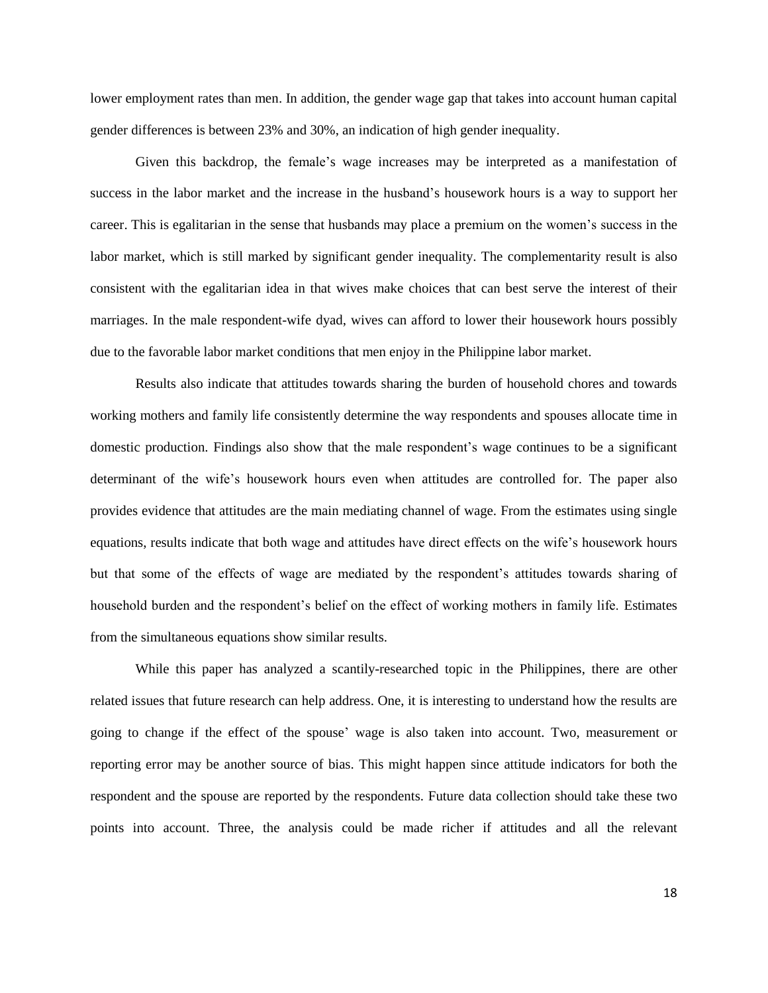lower employment rates than men. In addition, the gender wage gap that takes into account human capital gender differences is between 23% and 30%, an indication of high gender inequality.

Given this backdrop, the female's wage increases may be interpreted as a manifestation of success in the labor market and the increase in the husband's housework hours is a way to support her career. This is egalitarian in the sense that husbands may place a premium on the women's success in the labor market, which is still marked by significant gender inequality. The complementarity result is also consistent with the egalitarian idea in that wives make choices that can best serve the interest of their marriages. In the male respondent-wife dyad, wives can afford to lower their housework hours possibly due to the favorable labor market conditions that men enjoy in the Philippine labor market.

Results also indicate that attitudes towards sharing the burden of household chores and towards working mothers and family life consistently determine the way respondents and spouses allocate time in domestic production. Findings also show that the male respondent's wage continues to be a significant determinant of the wife's housework hours even when attitudes are controlled for. The paper also provides evidence that attitudes are the main mediating channel of wage. From the estimates using single equations, results indicate that both wage and attitudes have direct effects on the wife's housework hours but that some of the effects of wage are mediated by the respondent's attitudes towards sharing of household burden and the respondent's belief on the effect of working mothers in family life. Estimates from the simultaneous equations show similar results.

While this paper has analyzed a scantily-researched topic in the Philippines, there are other related issues that future research can help address. One, it is interesting to understand how the results are going to change if the effect of the spouse' wage is also taken into account. Two, measurement or reporting error may be another source of bias. This might happen since attitude indicators for both the respondent and the spouse are reported by the respondents. Future data collection should take these two points into account. Three, the analysis could be made richer if attitudes and all the relevant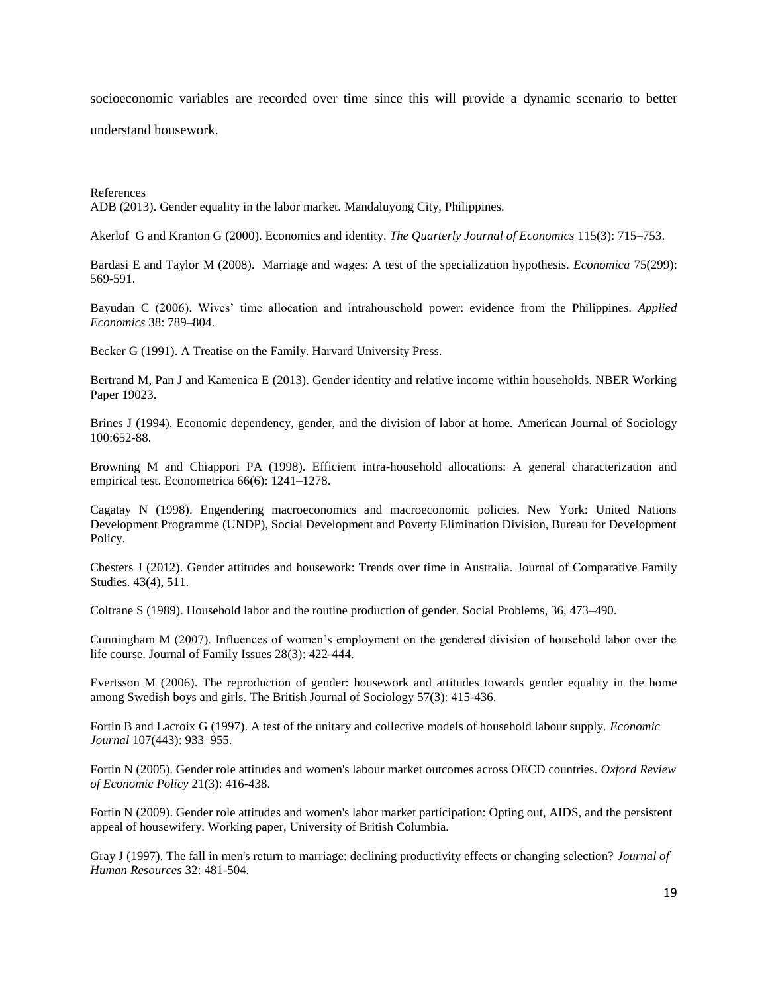socioeconomic variables are recorded over time since this will provide a dynamic scenario to better

understand housework.

References ADB (2013). Gender equality in the labor market. Mandaluyong City, Philippines.

Akerlof G and Kranton G (2000). Economics and identity. *The Quarterly Journal of Economics* 115(3): 715–753.

Bardasi E and Taylor M (2008). Marriage and wages: A test of the specialization hypothesis. *Economica* 75(299): 569-591.

Bayudan C (2006). Wives' time allocation and intrahousehold power: evidence from the Philippines. *Applied Economics* 38: 789–804.

Becker G (1991). A Treatise on the Family. Harvard University Press.

Bertrand M, Pan J and Kamenica E (2013). Gender identity and relative income within households. NBER Working Paper 19023.

Brines J (1994). Economic dependency, gender, and the division of labor at home. American Journal of Sociology 100:652-88.

Browning M and Chiappori PA (1998). Efficient intra-household allocations: A general characterization and empirical test. Econometrica 66(6): 1241–1278.

Cagatay N (1998). Engendering macroeconomics and macroeconomic policies. New York: United Nations Development Programme (UNDP), Social Development and Poverty Elimination Division, Bureau for Development Policy.

Chesters J (2012). Gender attitudes and housework: Trends over time in Australia. [Journal of Comparative Family](http://go.galegroup.com/ps/aboutJournal.do?pubDate=120120701&rcDocId=GALE%7CA300981433&actionString=DO_DISPLAY_ABOUT_PAGE&inPS=true&prodId=ITOF&userGroupName=lom_umichanna&resultClickType=AboutThisPublication&contentModuleId=ITOF&searchType=&docId=GALE%7C2198)  [Studies.](http://go.galegroup.com/ps/aboutJournal.do?pubDate=120120701&rcDocId=GALE%7CA300981433&actionString=DO_DISPLAY_ABOUT_PAGE&inPS=true&prodId=ITOF&userGroupName=lom_umichanna&resultClickType=AboutThisPublication&contentModuleId=ITOF&searchType=&docId=GALE%7C2198) 43(4), 511.

Coltrane S (1989). Household labor and the routine production of gender. Social Problems, 36, 473–490.

Cunningham M (2007). Influences of women's employment on the gendered division of household labor over the life course. Journal of Family Issues 28(3): 422-444.

Evertsson M (2006). The reproduction of gender: housework and attitudes towards gender equality in the home among Swedish boys and girls. The British Journal of Sociology 57(3): 415-436.

Fortin B and Lacroix G (1997). A test of the unitary and collective models of household labour supply. *Economic Journal* 107(443): 933–955.

Fortin N (2005). Gender role attitudes and women's labour market outcomes across OECD countries. *Oxford Review of Economic Policy* 21(3): 416-438.

Fortin N (2009). Gender role attitudes and women's labor market participation: Opting out, AIDS, and the persistent appeal of housewifery. Working paper, University of British Columbia.

Gray J (1997). The fall in men's return to marriage: declining productivity effects or changing selection? *Journal of Human Resources* 32: 481-504.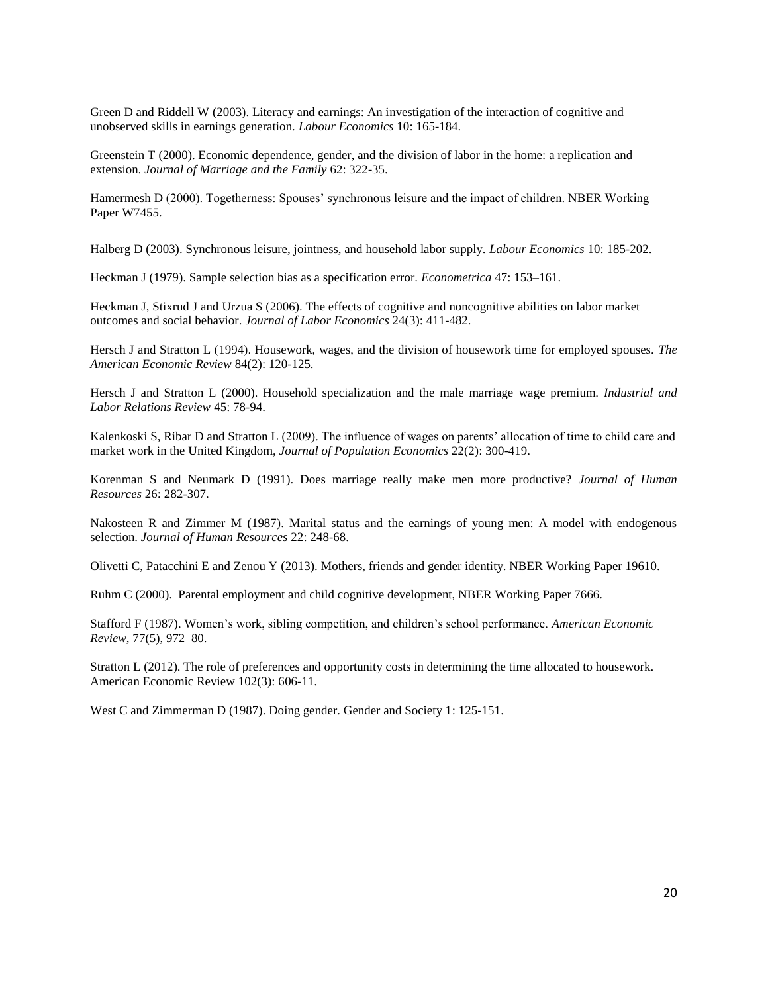Green D and Riddell W (2003). Literacy and earnings: An investigation of the interaction of cognitive and unobserved skills in earnings generation. *Labour Economics* 10: 165-184.

Greenstein T (2000). Economic dependence, gender, and the division of labor in the home: a replication and extension. *Journal of Marriage and the Family* 62: 322-35.

Hamermesh D (2000). Togetherness: Spouses' synchronous leisure and the impact of children. NBER Working Paper W7455.

Halberg D (2003). Synchronous leisure, jointness, and household labor supply. *Labour Economics* 10: 185-202.

Heckman J (1979). Sample selection bias as a specification error. *Econometrica* 47: 153–161.

Heckman J, Stixrud J and Urzua S (2006). The effects of cognitive and noncognitive abilities on labor market outcomes and social behavior. *Journal of Labor Economics* 24(3): 411-482.

Hersch J and Stratton L (1994). Housework, wages, and the division of housework time for employed spouses. *The American Economic Review* 84(2): 120-125.

Hersch J and Stratton L (2000). Household specialization and the male marriage wage premium. *Industrial and Labor Relations Review* 45: 78-94.

Kalenkoski S, Ribar D and Stratton L (2009). The influence of wages on parents' allocation of time to child care and market work in the United Kingdom, *Journal of Population Economics* 22(2): 300-419.

Korenman S and Neumark D (1991). Does marriage really make men more productive? *Journal of Human Resources* 26: 282-307.

Nakosteen R and Zimmer M (1987). Marital status and the earnings of young men: A model with endogenous selection. *Journal of Human Resources* 22: 248-68.

Olivetti C, Patacchini E and Zenou Y (2013). Mothers, friends and gender identity. NBER Working Paper 19610.

Ruhm C (2000). Parental employment and child cognitive development, NBER Working Paper 7666.

Stafford F (1987). Women's work, sibling competition, and children's school performance. *American Economic Review*, 77(5), 972–80.

Stratton L (2012). The role of preferences and opportunity costs in determining the time allocated to housework. American Economic Review 102(3): 606-11.

West C and Zimmerman D (1987). Doing gender. Gender and Society 1: 125-151.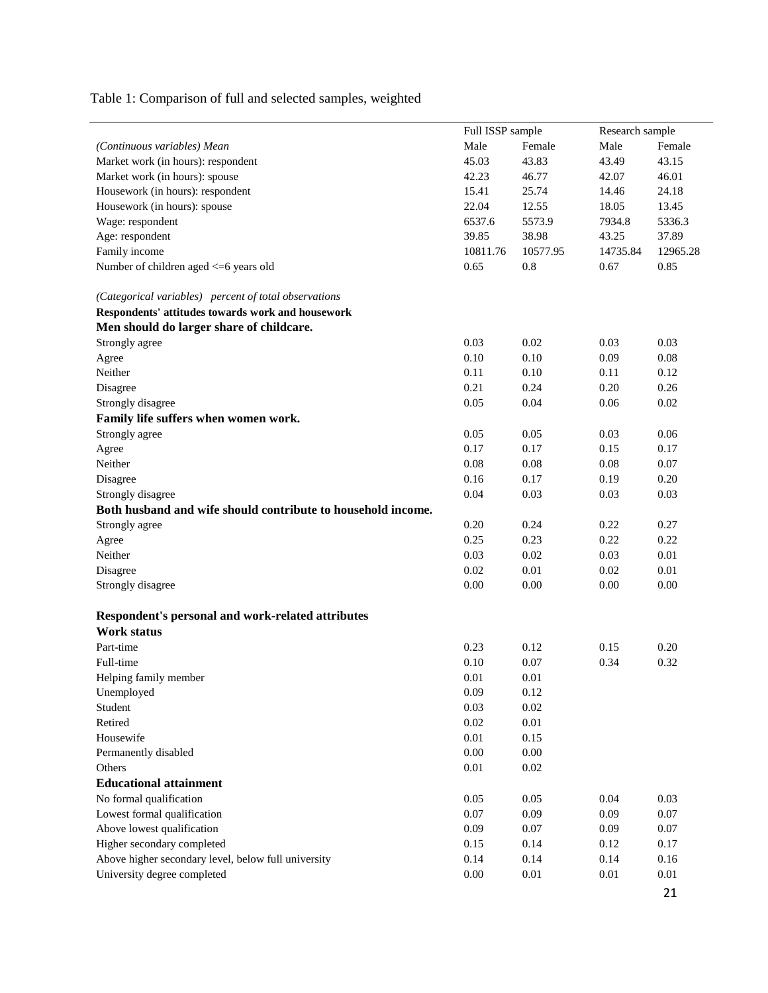Table 1: Comparison of full and selected samples, weighted

|                                                              | Full ISSP sample |          | Research sample |          |  |
|--------------------------------------------------------------|------------------|----------|-----------------|----------|--|
| (Continuous variables) Mean                                  | Male             | Female   | Male            | Female   |  |
| Market work (in hours): respondent                           | 45.03            | 43.83    | 43.49           | 43.15    |  |
| Market work (in hours): spouse                               | 42.23            | 46.77    | 42.07           | 46.01    |  |
| Housework (in hours): respondent                             | 15.41            | 25.74    | 14.46           | 24.18    |  |
| Housework (in hours): spouse                                 | 22.04            | 12.55    | 18.05           | 13.45    |  |
| Wage: respondent                                             | 6537.6           | 5573.9   | 7934.8          | 5336.3   |  |
| Age: respondent                                              | 39.85            | 38.98    | 43.25           | 37.89    |  |
| Family income                                                | 10811.76         | 10577.95 | 14735.84        | 12965.28 |  |
| Number of children aged <= 6 years old                       | 0.65             | 0.8      | 0.67            | 0.85     |  |
| (Categorical variables) percent of total observations        |                  |          |                 |          |  |
| Respondents' attitudes towards work and housework            |                  |          |                 |          |  |
| Men should do larger share of childcare.                     |                  |          |                 |          |  |
| Strongly agree                                               | 0.03             | 0.02     | 0.03            | 0.03     |  |
| Agree                                                        | 0.10             | 0.10     | 0.09            | 0.08     |  |
| Neither                                                      | 0.11             | 0.10     | 0.11            | 0.12     |  |
| Disagree                                                     | 0.21             | 0.24     | 0.20            | 0.26     |  |
| Strongly disagree                                            | 0.05             | 0.04     | 0.06            | 0.02     |  |
| Family life suffers when women work.                         |                  |          |                 |          |  |
| Strongly agree                                               | 0.05             | 0.05     | 0.03            | 0.06     |  |
| Agree                                                        | 0.17             | 0.17     | 0.15            | 0.17     |  |
| Neither                                                      | 0.08             | 0.08     | 0.08            | 0.07     |  |
| Disagree                                                     | 0.16             | 0.17     | 0.19            | 0.20     |  |
| Strongly disagree                                            | 0.04             | 0.03     | 0.03            | 0.03     |  |
| Both husband and wife should contribute to household income. |                  |          |                 |          |  |
| Strongly agree                                               | 0.20             | 0.24     | 0.22            | 0.27     |  |
| Agree                                                        | 0.25             | 0.23     | 0.22            | 0.22     |  |
| Neither                                                      | 0.03             | 0.02     | 0.03            | 0.01     |  |
| Disagree                                                     | 0.02             | 0.01     | 0.02            | 0.01     |  |
| Strongly disagree                                            | 0.00             | 0.00     | 0.00            | 0.00     |  |
| Respondent's personal and work-related attributes            |                  |          |                 |          |  |
| <b>Work status</b>                                           |                  |          |                 |          |  |
| Part-time                                                    | 0.23             | 0.12     | 0.15            | 0.20     |  |
| Full-time                                                    | 0.10             | 0.07     | 0.34            | 0.32     |  |
| Helping family member                                        | 0.01             | 0.01     |                 |          |  |
| Unemployed                                                   | 0.09             | 0.12     |                 |          |  |
| Student                                                      | 0.03             | $0.02\,$ |                 |          |  |
| Retired                                                      | 0.02             | 0.01     |                 |          |  |
| Housewife                                                    | 0.01             | 0.15     |                 |          |  |
| Permanently disabled                                         | 0.00             | $0.00\,$ |                 |          |  |
| Others                                                       | 0.01             | 0.02     |                 |          |  |
| <b>Educational attainment</b>                                |                  |          |                 |          |  |
| No formal qualification                                      | 0.05             | 0.05     | 0.04            | 0.03     |  |
| Lowest formal qualification                                  | 0.07             | 0.09     | 0.09            | 0.07     |  |
| Above lowest qualification                                   | 0.09             | 0.07     | 0.09            | 0.07     |  |
| Higher secondary completed                                   | 0.15             | 0.14     | 0.12            | 0.17     |  |
| Above higher secondary level, below full university          | 0.14             | 0.14     | 0.14            | 0.16     |  |
| University degree completed                                  | $0.00\,$         | 0.01     | $0.01\,$        | 0.01     |  |
|                                                              |                  |          |                 |          |  |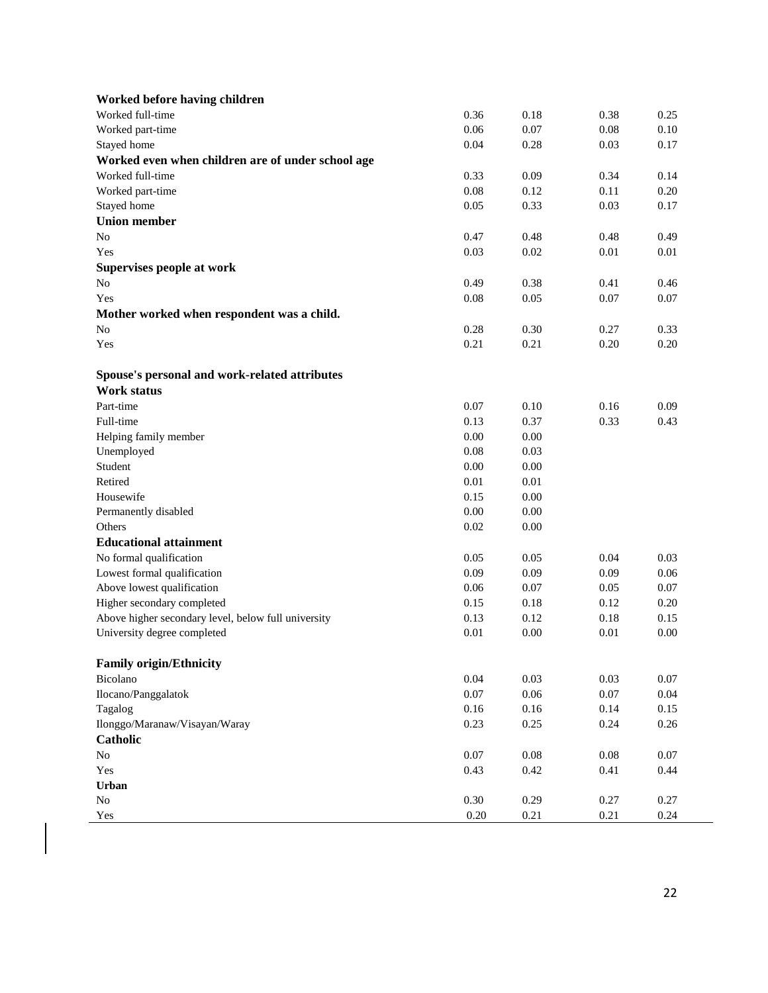| Worked before having children                       |          |          |          |          |
|-----------------------------------------------------|----------|----------|----------|----------|
| Worked full-time                                    | 0.36     | 0.18     | 0.38     | 0.25     |
| Worked part-time                                    | 0.06     | 0.07     | 0.08     | 0.10     |
| Stayed home                                         | 0.04     | 0.28     | 0.03     | 0.17     |
| Worked even when children are of under school age   |          |          |          |          |
| Worked full-time                                    | 0.33     | 0.09     | 0.34     | 0.14     |
| Worked part-time                                    | 0.08     | 0.12     | 0.11     | 0.20     |
| Stayed home                                         | 0.05     | 0.33     | 0.03     | 0.17     |
| <b>Union member</b>                                 |          |          |          |          |
| No                                                  | 0.47     | 0.48     | 0.48     | 0.49     |
| Yes                                                 | 0.03     | 0.02     | $0.01\,$ | 0.01     |
| Supervises people at work                           |          |          |          |          |
| No                                                  | 0.49     | 0.38     | 0.41     | 0.46     |
| Yes                                                 | 0.08     | 0.05     | 0.07     | 0.07     |
| Mother worked when respondent was a child.          |          |          |          |          |
| N <sub>o</sub>                                      | 0.28     | 0.30     | 0.27     | 0.33     |
| Yes                                                 | 0.21     | 0.21     | 0.20     | 0.20     |
|                                                     |          |          |          |          |
| Spouse's personal and work-related attributes       |          |          |          |          |
| Work status                                         |          |          |          |          |
| Part-time                                           | 0.07     | 0.10     | 0.16     | 0.09     |
| Full-time                                           | 0.13     | 0.37     | 0.33     | 0.43     |
| Helping family member                               | 0.00     | 0.00     |          |          |
| Unemployed                                          | 0.08     | 0.03     |          |          |
| Student                                             | 0.00     | 0.00     |          |          |
| Retired                                             | 0.01     | 0.01     |          |          |
| Housewife                                           | 0.15     | 0.00     |          |          |
|                                                     | 0.00     | 0.00     |          |          |
| Permanently disabled<br>Others                      | 0.02     | 0.00     |          |          |
|                                                     |          |          |          |          |
| <b>Educational attainment</b>                       |          |          |          |          |
| No formal qualification                             | 0.05     | 0.05     | 0.04     | 0.03     |
| Lowest formal qualification                         | 0.09     | 0.09     | 0.09     | 0.06     |
| Above lowest qualification                          | 0.06     | 0.07     | 0.05     | 0.07     |
| Higher secondary completed                          | 0.15     | 0.18     | 0.12     | 0.20     |
| Above higher secondary level, below full university | 0.13     | 0.12     | 0.18     | 0.15     |
| University degree completed                         | 0.01     | 0.00     | $0.01\,$ | 0.00     |
|                                                     |          |          |          |          |
| <b>Family origin/Ethnicity</b>                      |          |          |          |          |
| Bicolano                                            | 0.04     | 0.03     | 0.03     | 0.07     |
| Ilocano/Panggalatok                                 | $0.07\,$ | $0.06\,$ | 0.07     | 0.04     |
| Tagalog                                             | 0.16     | 0.16     | 0.14     | 0.15     |
| Ilonggo/Maranaw/Visayan/Waray                       | 0.23     | 0.25     | 0.24     | $0.26\,$ |
| Catholic                                            |          |          |          |          |
| $\rm No$                                            | 0.07     | $0.08\,$ | $0.08\,$ | $0.07\,$ |
| Yes                                                 | 0.43     | 0.42     | 0.41     | 0.44     |
| Urban                                               |          |          |          |          |
| $\rm No$                                            | 0.30     | 0.29     | 0.27     | 0.27     |
| Yes                                                 | $0.20\,$ | 0.21     | $0.21\,$ | 0.24     |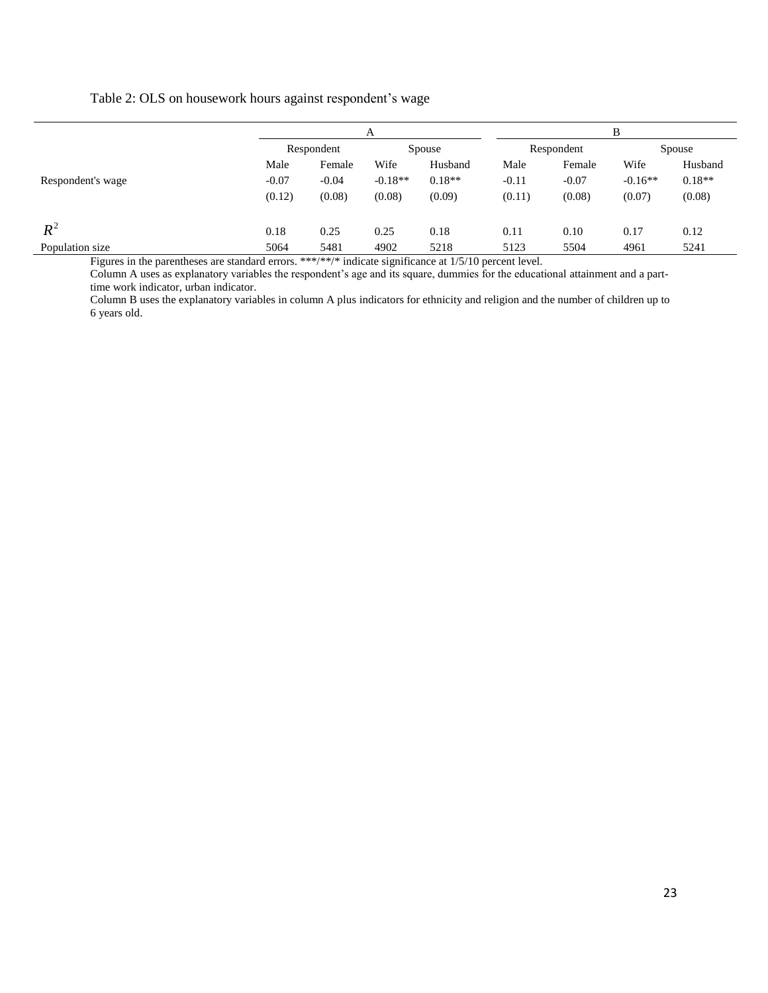#### Table 2: OLS on housework hours against respondent's wage

|                                                                                                                                                                                                                                                  | А          |         |           |          | в          |         |           |          |
|--------------------------------------------------------------------------------------------------------------------------------------------------------------------------------------------------------------------------------------------------|------------|---------|-----------|----------|------------|---------|-----------|----------|
|                                                                                                                                                                                                                                                  | Respondent |         | Spouse    |          | Respondent |         | Spouse    |          |
|                                                                                                                                                                                                                                                  | Male       | Female  | Wife      | Husband  | Male       | Female  | Wife      | Husband  |
| Respondent's wage                                                                                                                                                                                                                                | $-0.07$    | $-0.04$ | $-0.18**$ | $0.18**$ | $-0.11$    | $-0.07$ | $-0.16**$ | $0.18**$ |
|                                                                                                                                                                                                                                                  | (0.12)     | (0.08)  | (0.08)    | (0.09)   | (0.11)     | (0.08)  | (0.07)    | (0.08)   |
| $R^2$                                                                                                                                                                                                                                            | 0.18       | 0.25    | 0.25      | 0.18     | 0.11       | 0.10    | 0.17      | 0.12     |
| Population size<br>$T^*$ $T^*$ $T^*$ $T^*$ $T^*$ $T^*$ $T^*$ $T^*$ $T^*$ $T^*$ $T^*$ $T^*$ $T^*$ $T^*$ $T^*$ $T^*$ $T^*$ $T^*$ $T^*$ $T^*$ $T^*$ $T^*$ $T^*$ $T^*$ $T^*$ $T^*$ $T^*$ $T^*$ $T^*$ $T^*$ $T^*$ $T^*$ $T^*$ $T^*$ $T^*$ $T^*$ $T^*$ | 5064       | 5481    | 4902      | 5218     | 5123       | 5504    | 4961      | 5241     |

Figures in the parentheses are standard errors. \*\*\*/\*\*/\* indicate significance at 1/5/10 percent level.

Column A uses as explanatory variables the respondent's age and its square, dummies for the educational attainment and a parttime work indicator, urban indicator.

Column B uses the explanatory variables in column A plus indicators for ethnicity and religion and the number of children up to 6 years old.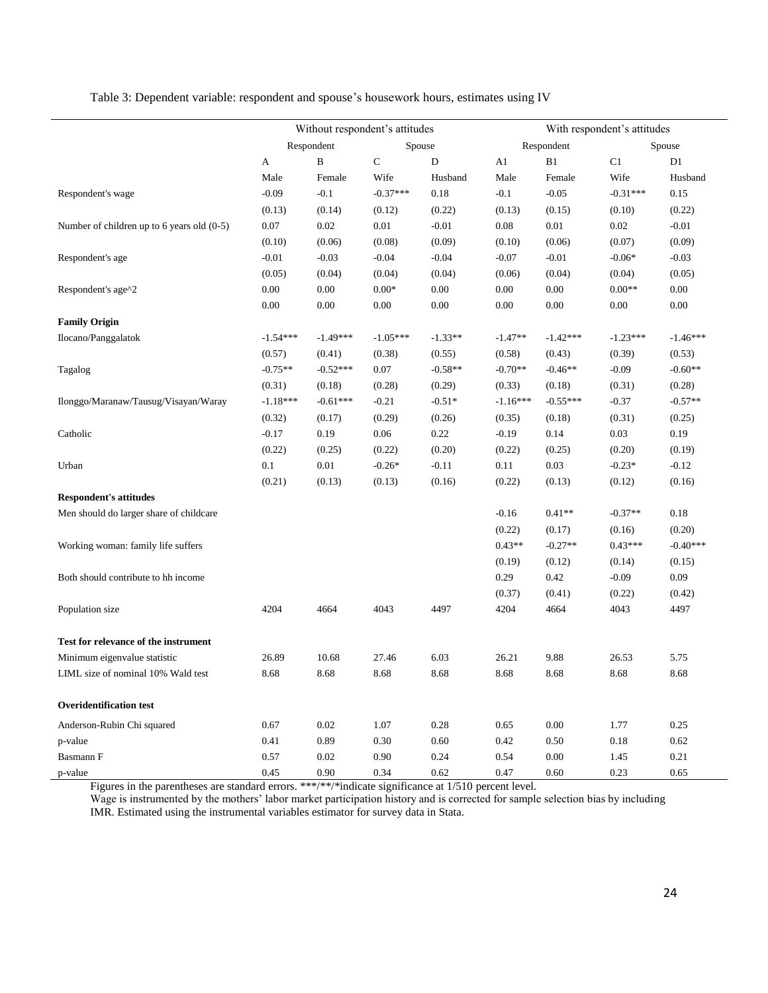Table 3: Dependent variable: respondent and spouse's housework hours, estimates using IV

Ĭ.

|                                              | Without respondent's attitudes |              |            |           | With respondent's attitudes |               |            |            |  |
|----------------------------------------------|--------------------------------|--------------|------------|-----------|-----------------------------|---------------|------------|------------|--|
|                                              | Respondent                     |              |            | Spouse    |                             | Respondent    |            | Spouse     |  |
|                                              | A                              | $\, {\bf B}$ | ${\bf C}$  | ${\rm D}$ | A1                          | $\mathbf{B}1$ | C1         | D1         |  |
|                                              | Male                           | Female       | Wife       | Husband   | Male                        | Female        | Wife       | Husband    |  |
| Respondent's wage                            | $-0.09$                        | $-0.1$       | $-0.37***$ | 0.18      | $-0.1$                      | $-0.05$       | $-0.31***$ | 0.15       |  |
|                                              | (0.13)                         | (0.14)       | (0.12)     | (0.22)    | (0.13)                      | (0.15)        | (0.10)     | (0.22)     |  |
| Number of children up to 6 years old $(0-5)$ | 0.07                           | 0.02         | 0.01       | $-0.01$   | 0.08                        | $0.01\,$      | 0.02       | $-0.01$    |  |
|                                              | (0.10)                         | (0.06)       | (0.08)     | (0.09)    | (0.10)                      | (0.06)        | (0.07)     | (0.09)     |  |
| Respondent's age                             | $-0.01$                        | $-0.03$      | $-0.04$    | $-0.04$   | $-0.07$                     | $-0.01$       | $-0.06*$   | $-0.03$    |  |
|                                              | (0.05)                         | (0.04)       | (0.04)     | (0.04)    | (0.06)                      | (0.04)        | (0.04)     | (0.05)     |  |
| Respondent's age^2                           | 0.00                           | 0.00         | $0.00*$    | 0.00      | 0.00                        | 0.00          | $0.00**$   | 0.00       |  |
|                                              | $0.00\,$                       | 0.00         | 0.00       | 0.00      | 0.00                        | 0.00          | 0.00       | 0.00       |  |
| <b>Family Origin</b>                         |                                |              |            |           |                             |               |            |            |  |
| Ilocano/Panggalatok                          | $-1.54***$                     | $-1.49***$   | $-1.05***$ | $-1.33**$ | $-1.47**$                   | $-1.42***$    | $-1.23***$ | $-1.46***$ |  |
|                                              | (0.57)                         | (0.41)       | (0.38)     | (0.55)    | (0.58)                      | (0.43)        | (0.39)     | (0.53)     |  |
| Tagalog                                      | $-0.75**$                      | $-0.52***$   | 0.07       | $-0.58**$ | $-0.70**$                   | $-0.46**$     | $-0.09$    | $-0.60**$  |  |
|                                              | (0.31)                         | (0.18)       | (0.28)     | (0.29)    | (0.33)                      | (0.18)        | (0.31)     | (0.28)     |  |
| Ilonggo/Maranaw/Tausug/Visayan/Waray         | $-1.18***$                     | $-0.61***$   | $-0.21$    | $-0.51*$  | $-1.16***$                  | $-0.55***$    | $-0.37$    | $-0.57**$  |  |
|                                              | (0.32)                         | (0.17)       | (0.29)     | (0.26)    | (0.35)                      | (0.18)        | (0.31)     | (0.25)     |  |
| Catholic                                     | $-0.17$                        | 0.19         | 0.06       | 0.22      | $-0.19$                     | 0.14          | 0.03       | 0.19       |  |
|                                              | (0.22)                         | (0.25)       | (0.22)     | (0.20)    | (0.22)                      | (0.25)        | (0.20)     | (0.19)     |  |
| Urban                                        | $0.1\,$                        | 0.01         | $-0.26*$   | $-0.11$   | 0.11                        | 0.03          | $-0.23*$   | $-0.12$    |  |
|                                              | (0.21)                         | (0.13)       | (0.13)     | (0.16)    | (0.22)                      | (0.13)        | (0.12)     | (0.16)     |  |
| <b>Respondent's attitudes</b>                |                                |              |            |           |                             |               |            |            |  |
| Men should do larger share of childcare      |                                |              |            |           | $-0.16$                     | $0.41**$      | $-0.37**$  | 0.18       |  |
|                                              |                                |              |            |           | (0.22)                      | (0.17)        | (0.16)     | (0.20)     |  |
| Working woman: family life suffers           |                                |              |            |           | $0.43**$                    | $-0.27**$     | $0.43***$  | $-0.40***$ |  |
|                                              |                                |              |            |           | (0.19)                      | (0.12)        | (0.14)     | (0.15)     |  |
| Both should contribute to hh income          |                                |              |            |           | 0.29                        | 0.42          | $-0.09$    | 0.09       |  |
|                                              |                                |              |            |           | (0.37)                      | (0.41)        | (0.22)     | (0.42)     |  |
| Population size                              | 4204                           | 4664         | 4043       | 4497      | 4204                        | 4664          | 4043       | 4497       |  |
| Test for relevance of the instrument         |                                |              |            |           |                             |               |            |            |  |
| Minimum eigenvalue statistic                 | 26.89                          | 10.68        | 27.46      | 6.03      | 26.21                       | 9.88          | 26.53      | 5.75       |  |
| LIML size of nominal 10% Wald test           | 8.68                           | 8.68         | 8.68       | 8.68      | 8.68                        | 8.68          | 8.68       | 8.68       |  |
| <b>Overidentification test</b>               |                                |              |            |           |                             |               |            |            |  |
| Anderson-Rubin Chi squared                   | 0.67                           | 0.02         | 1.07       | 0.28      | 0.65                        | 0.00          | 1.77       | 0.25       |  |
| p-value                                      | 0.41                           | 0.89         | 0.30       | 0.60      | 0.42                        | 0.50          | 0.18       | 0.62       |  |
| Basmann F                                    | 0.57                           | $0.02\,$     | 0.90       | 0.24      | 0.54                        | 0.00          | 1.45       | 0.21       |  |
| p-value                                      | 0.45                           | 0.90         | 0.34       | 0.62      | 0.47                        | 0.60          | 0.23       | 0.65       |  |

Figures in the parentheses are standard errors. \*\*\*/\*\*/\*indicate significance at 1/510 percent level.

Wage is instrumented by the mothers' labor market participation history and is corrected for sample selection bias by including IMR. Estimated using the instrumental variables estimator for survey data in Stata.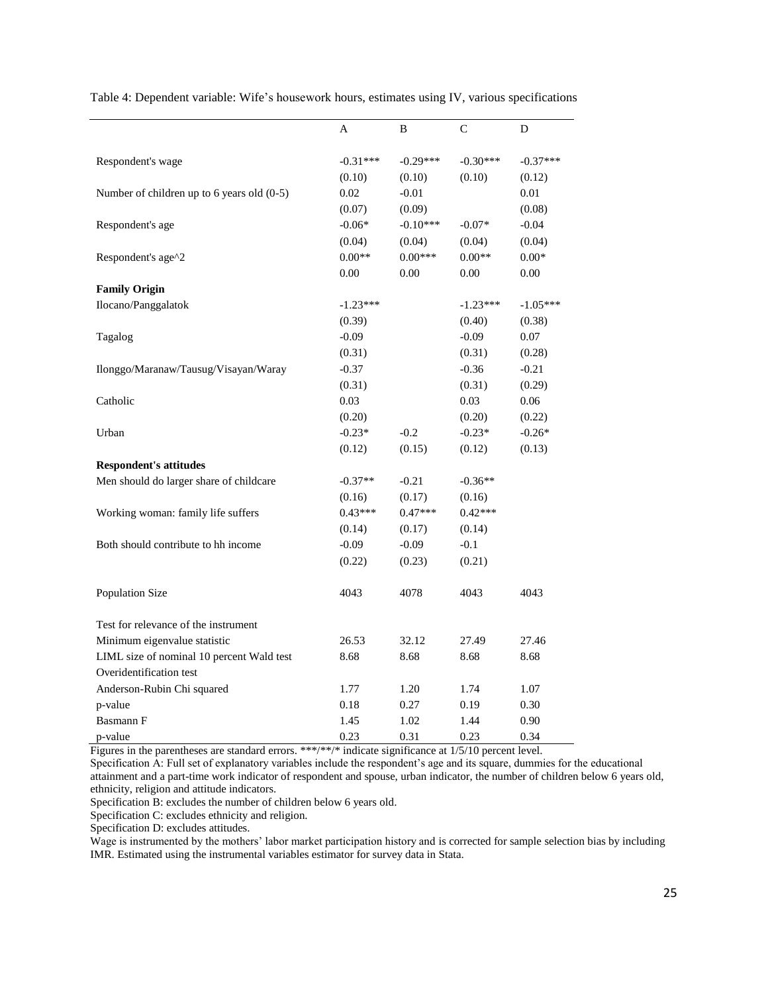|                                            | Α          | B          | C          | D          |
|--------------------------------------------|------------|------------|------------|------------|
| Respondent's wage                          | $-0.31***$ | $-0.29***$ | $-0.30***$ | $-0.37***$ |
|                                            | (0.10)     | (0.10)     | (0.10)     | (0.12)     |
| Number of children up to 6 years old (0-5) | 0.02       | $-0.01$    |            | 0.01       |
|                                            | (0.07)     | (0.09)     |            | (0.08)     |
| Respondent's age                           | $-0.06*$   | $-0.10***$ | $-0.07*$   | $-0.04$    |
|                                            | (0.04)     | (0.04)     | (0.04)     | (0.04)     |
| Respondent's age^2                         | $0.00**$   | $0.00***$  | $0.00**$   | $0.00*$    |
|                                            | 0.00       | 0.00       | 0.00       | 0.00       |
| <b>Family Origin</b>                       |            |            |            |            |
| Ilocano/Panggalatok                        | $-1.23***$ |            | $-1.23***$ | $-1.05***$ |
|                                            | (0.39)     |            | (0.40)     | (0.38)     |
| Tagalog                                    | $-0.09$    |            | $-0.09$    | 0.07       |
|                                            | (0.31)     |            | (0.31)     | (0.28)     |
| Ilonggo/Maranaw/Tausug/Visayan/Waray       | $-0.37$    |            | $-0.36$    | $-0.21$    |
|                                            | (0.31)     |            | (0.31)     | (0.29)     |
| Catholic                                   | 0.03       |            | 0.03       | 0.06       |
|                                            | (0.20)     |            | (0.20)     | (0.22)     |
| Urban                                      | $-0.23*$   | $-0.2$     | $-0.23*$   | $-0.26*$   |
|                                            | (0.12)     | (0.15)     | (0.12)     | (0.13)     |
| <b>Respondent's attitudes</b>              |            |            |            |            |
| Men should do larger share of childcare    | $-0.37**$  | $-0.21$    | $-0.36**$  |            |
|                                            | (0.16)     | (0.17)     | (0.16)     |            |
| Working woman: family life suffers         | $0.43***$  | $0.47***$  | $0.42***$  |            |
|                                            | (0.14)     | (0.17)     | (0.14)     |            |
| Both should contribute to hh income        | $-0.09$    | $-0.09$    | $-0.1$     |            |
|                                            | (0.22)     | (0.23)     | (0.21)     |            |
| Population Size                            | 4043       | 4078       | 4043       | 4043       |
| Test for relevance of the instrument       |            |            |            |            |
| Minimum eigenvalue statistic               | 26.53      | 32.12      | 27.49      | 27.46      |
| LIML size of nominal 10 percent Wald test  | 8.68       | 8.68       | 8.68       | 8.68       |
| Overidentification test                    |            |            |            |            |
| Anderson-Rubin Chi squared                 | 1.77       | 1.20       | 1.74       | 1.07       |
| p-value                                    | 0.18       | 0.27       | 0.19       | 0.30       |
| Basmann F                                  | 1.45       | 1.02       | 1.44       | 0.90       |
| p-value                                    | 0.23       | 0.31       | 0.23       | 0.34       |

Table 4: Dependent variable: Wife's housework hours, estimates using IV, various specifications

Figures in the parentheses are standard errors. \*\*\*/\*\*/\* indicate significance at 1/5/10 percent level.

Specification A: Full set of explanatory variables include the respondent's age and its square, dummies for the educational attainment and a part-time work indicator of respondent and spouse, urban indicator, the number of children below 6 years old, ethnicity, religion and attitude indicators.

Specification B: excludes the number of children below 6 years old.

Specification C: excludes ethnicity and religion.

Specification D: excludes attitudes.

Wage is instrumented by the mothers' labor market participation history and is corrected for sample selection bias by including IMR. Estimated using the instrumental variables estimator for survey data in Stata.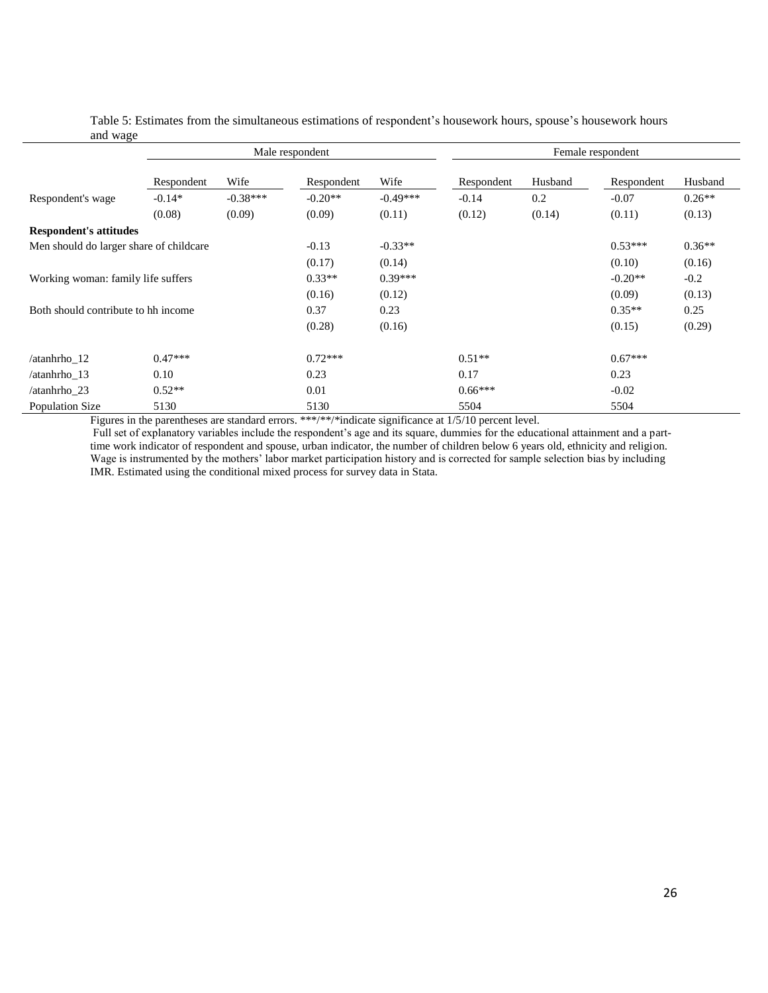|                                         | Male respondent |            |            | Female respondent |            |         |            |          |
|-----------------------------------------|-----------------|------------|------------|-------------------|------------|---------|------------|----------|
|                                         | Respondent      | Wife       | Respondent | Wife              | Respondent | Husband | Respondent | Husband  |
| Respondent's wage                       | $-0.14*$        | $-0.38***$ | $-0.20**$  | $-0.49***$        | $-0.14$    | 0.2     | $-0.07$    | $0.26**$ |
|                                         | (0.08)          | (0.09)     | (0.09)     | (0.11)            | (0.12)     | (0.14)  | (0.11)     | (0.13)   |
| <b>Respondent's attitudes</b>           |                 |            |            |                   |            |         |            |          |
| Men should do larger share of childcare |                 |            | $-0.13$    | $-0.33**$         |            |         | $0.53***$  | $0.36**$ |
|                                         |                 |            | (0.17)     | (0.14)            |            |         | (0.10)     | (0.16)   |
| Working woman: family life suffers      |                 |            | $0.33**$   | $0.39***$         |            |         | $-0.20**$  | $-0.2$   |
|                                         |                 |            | (0.16)     | (0.12)            |            |         | (0.09)     | (0.13)   |
| Both should contribute to hh income     |                 |            | 0.37       | 0.23              |            |         | $0.35**$   | 0.25     |
|                                         |                 |            | (0.28)     | (0.16)            |            |         | (0.15)     | (0.29)   |
| /atanhrho 12                            | $0.47***$       |            | $0.72***$  |                   | $0.51**$   |         | $0.67***$  |          |
| /atanhrho 13                            | 0.10            |            | 0.23       |                   | 0.17       |         | 0.23       |          |
| /atanhrho 23                            | $0.52**$        |            | 0.01       |                   | $0.66***$  |         | $-0.02$    |          |
| Population Size                         | 5130            |            | 5130       |                   | 5504       |         | 5504       |          |

Table 5: Estimates from the simultaneous estimations of respondent's housework hours, spouse's housework hours and wage

Figures in the parentheses are standard errors. \*\*\*/\*\*/\*indicate significance at  $1/5/10$  percent level.

Full set of explanatory variables include the respondent's age and its square, dummies for the educational attainment and a parttime work indicator of respondent and spouse, urban indicator, the number of children below 6 years old, ethnicity and religion. Wage is instrumented by the mothers' labor market participation history and is corrected for sample selection bias by including IMR. Estimated using the conditional mixed process for survey data in Stata.